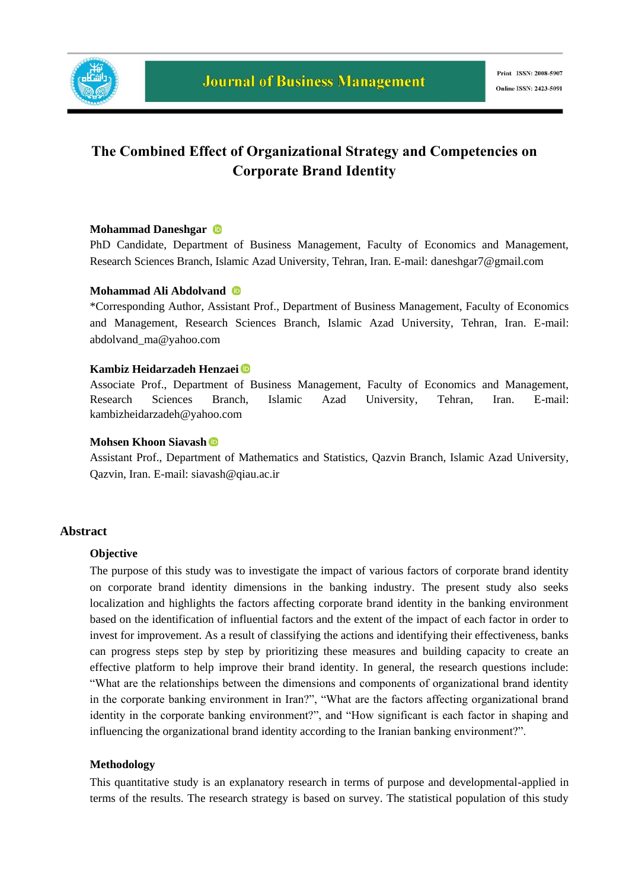

# **The Combined Effect of Organizational Strategy and Competencies on Corporate Brand Identity**

#### **Mohammad Daneshgar**

PhD Candidate, Department of Business Management, Faculty of Economics and Management, Research Sciences Branch, Islamic Azad University, Tehran, Iran. E-mail: daneshgar7@gmail.com

### **Mohammad Ali Abdolvand**

\*Corresponding Author*,* Assistant Prof., Department of Business Management, Faculty of Economics and Management, Research Sciences Branch, Islamic Azad University, Tehran, Iran. E-mail: abdolvand\_ma@yahoo.com

#### **Kambiz Heidarzadeh Henzaei**

Associate Prof., Department of Business Management, Faculty of Economics and Management, Research Sciences Branch, Islamic Azad University, Tehran, Iran. E-mail: kambizheidarzadeh@yahoo.com

#### **Mohsen Khoon Siavash**

Assistant Prof., Department of Mathematics and Statistics, Qazvin Branch, Islamic Azad University, Qazvin, Iran. E-mail: siavash@qiau.ac.ir

#### **Abstract**

#### **Objective**

The purpose of this study was to investigate the impact of various factors of corporate brand identity on corporate brand identity dimensions in the banking industry. The present study also seeks localization and highlights the factors affecting corporate brand identity in the banking environment based on the identification of influential factors and the extent of the impact of each factor in order to invest for improvement. As a result of classifying the actions and identifying their effectiveness, banks can progress steps step by step by prioritizing these measures and building capacity to create an effective platform to help improve their brand identity. In general, the research questions include: "What are the relationships between the dimensions and components of organizational brand identity in the corporate banking environment in Iran?", "What are the factors affecting organizational brand identity in the corporate banking environment?", and "How significant is each factor in shaping and influencing the organizational brand identity according to the Iranian banking environment?".

#### **Methodology**

This quantitative study is an explanatory research in terms of purpose and developmental-applied in terms of the results. The research strategy is based on survey. The statistical population of this study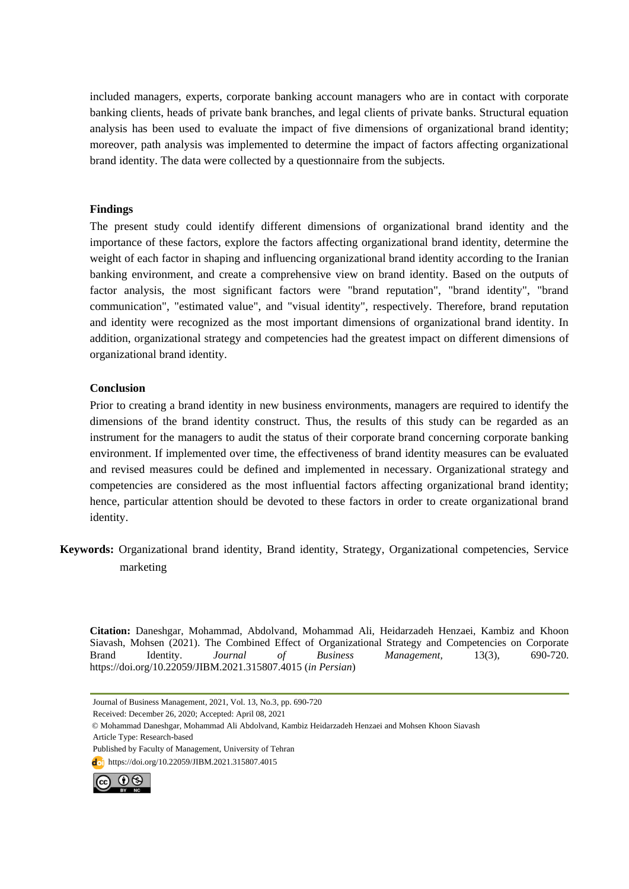included managers, experts, corporate banking account managers who are in contact with corporate banking clients, heads of private bank branches, and legal clients of private banks. Structural equation analysis has been used to evaluate the impact of five dimensions of organizational brand identity; moreover, path analysis was implemented to determine the impact of factors affecting organizational brand identity. The data were collected by a questionnaire from the subjects.

#### **Findings**

The present study could identify different dimensions of organizational brand identity and the importance of these factors, explore the factors affecting organizational brand identity, determine the weight of each factor in shaping and influencing organizational brand identity according to the Iranian banking environment, and create a comprehensive view on brand identity. Based on the outputs of factor analysis, the most significant factors were "brand reputation", "brand identity", "brand communication", "estimated value", and "visual identity", respectively. Therefore, brand reputation and identity were recognized as the most important dimensions of organizational brand identity. In addition, organizational strategy and competencies had the greatest impact on different dimensions of organizational brand identity.

### **Conclusion**

Prior to creating a brand identity in new business environments, managers are required to identify the dimensions of the brand identity construct. Thus, the results of this study can be regarded as an instrument for the managers to audit the status of their corporate brand concerning corporate banking environment. If implemented over time, the effectiveness of brand identity measures can be evaluated and revised measures could be defined and implemented in necessary. Organizational strategy and competencies are considered as the most influential factors affecting organizational brand identity; hence, particular attention should be devoted to these factors in order to create organizational brand identity.

**Keywords:** Organizational brand identity, Brand identity, Strategy, Organizational competencies, Service marketing

**Citation:** Daneshgar, Mohammad, Abdolvand, Mohammad Ali, Heidarzadeh Henzaei, Kambiz and Khoon Siavash, Mohsen (2021). The Combined Effect of Organizational Strategy and Competencies on Corporate Brand Identity. *Journal of Business Management,* 13(3), 690-720. https://doi.org/10.22059/JIBM.2021.315807.4015 (*in Persian*)

Received: December 26, 2020; Accepted: April 08, 2021

doi https://doi.org/10.22059/JIBM.2021.315807.4015



Journal of Business Management, 2021, Vol. 13, No.3, pp. 690-720

<sup>©</sup> Mohammad Daneshgar, Mohammad Ali Abdolvand, Kambiz Heidarzadeh Henzaei and Mohsen Khoon Siavash Article Type: Research-based

Published by Faculty of Management, University of Tehran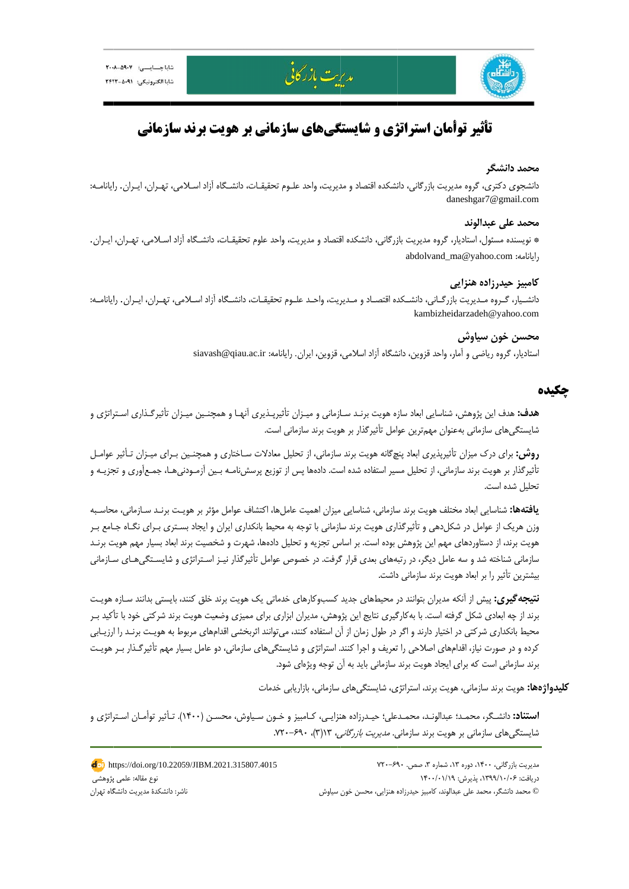

# **ازماني ويت برند سا زماني بر هو گيهاي ساز ژي و شايستگ أمان استراتژ تأثير توأ**

مديرت بازركانى

#### **دانشگر محمد د**

دانشجوي دكتري، گروه مديريت بازرگاني، دانشكده اقتصاد و مديريت، واحد علـوم تحقيقـات، دانشـگاه آزاد اسـلامي، تهـران، ايـران. رايانامـه: da aneshgar7@gm ail.com

#### **علي عبدالوند محمد ع**

\* نويسنده مسئول، استاديار، گروه مديريت بازرگاني، دانشكده اقتصاد و مديريت، واحد علوم تحقيقـات، دانشـگاه آزاد اسـلامي، تهـران، ايـران. abdolvand\_m ma@yahoo.com رايانامه: m

### **ي حيدرزاده هنزايي كامبيز ح**

دانشـيار، گـروه مـديريت بازرگـاني، دانشـكده اقتصـاد و مـديريت، واحـد علـوم تحقيقـات، دانشـگاه آزاد اسـلامي، تهـران، ايـران. رايانامـه: kambizheid darzadeh@yah oo.com

### **خون سياوش محسن**

ستاديار، گروه رياضي و آمار، واحد قزوين، دانشگاه آزاد اسلامي، قزوين، ايران. رايانامه: siavash@qiau.ac.ir

# **چكيده چ**

**هدف:** هدف اين پژوهش، شناسايي ابعاد سازه هويت برنـد سـازماني و ميـزان تأثيرپـذيري آنهـا و همچنـين ميـزان تأثيرگـذاري اسـتراتژي و شايستگي،اي سازماني بهعنوان مهم,ترين عوامل تأثيرگذار بر هويت برند سازماني است.

**روش:** براي درک ميزان تأثيرپذيري ابعاد پنچگانه هويت برند سازماني، از تحليل معادلات سـاختاري و همچنـين بـراي ميـزان تـأثير عوامـل نأثيرگذار بر هويت برند سازماني، از تحليل مسير استفاده شده است. دادهها پس از توزيع پرسشنامـه بـين آزمـودنيهـا، جمـعآورى و تجزيـه و نحليل شده است.

**يافتهها:** شناسايي ابعاد مختلف هويت برند سازماني، شناسايي ميزان اهميت عاملها، اكتشاف عوامل مؤثر بر هويـت برنـد سـازماني، محاسـبه وزن هريک از عوامل در شکل‹هي و تأثيرگذاري هويت برند سازماني با توجه به محيط بانکداري ايران و ايجاد بسـتري بـراي نگــاه جـامع بـر هويت برند، از دستاوردهاى مهم اين پژوهش بوده است. بر اساس تجزيه و تحليل دادهها، شهرت و شخصيت برند ابعاد بسيار مهم هويت برنـد سازماني شناخته شد و سه عامل ديگر، در رتبههاي بعدي قرار گرفت. در خصوص عوامل تأثيرگذار نيـز اسـتراتژي و شايسـتگيهـاي سـازماني يشترين تأثير را بر ابعاد هويت برند سازماني داشت.

ن**تيجه گيري:** پيش از آنكه مديران بتوانند در محيطهاى جديد كسبوكارهاى خدماتى يک هويت برند خلق كنند، بايستى بدانند سـازه هويـت برند از چه ابعادی شکل گرفته است. با بهکارگیری نتایج این پژوهش، مدیران ابزاری برای ممیزی وضعیت هویت برند شرکتی خود با تأکید بـر محيط بانكدارى شركتى در اختيار دارند و اگر در طول زمان از آن استفاده كنند، مىتوانند اثربخشى اقدامهاى مربوط به هويـت برنـد را ارزيــابى كرده و در صورت نياز، اقدامهاى اصلاحى را تعريف و اجرا كنند. استراتژى و شايستگىهاى سازمانى، دو عامل بسيار مهم تأثيرگـذار بـر هويـت برند سازمانی است که برای ایجاد هویت برند سازمانی باید به آن توجه ویژهای شود.

**كليدواژهها:** هويت برند سازماني، هويت برند، استراتژى، شايستگيهاى سازماني، بازاريابي خدمات

ا**ستناد:** دانشـگر، محمـد؛ عبدالونـد، محمـدعلي؛ حيـدرزاده هنزايـي، كـامبيز و خـون سـياوش، محسـن (١۴٠٠). تـأثير توأمـان اسـتراتژى و شايستگي@اي سازماني بر هويت برند سازمان*ي. مديريت بازرگاني،* ۱۳(۳)، ۶۹۰–۷۲۰.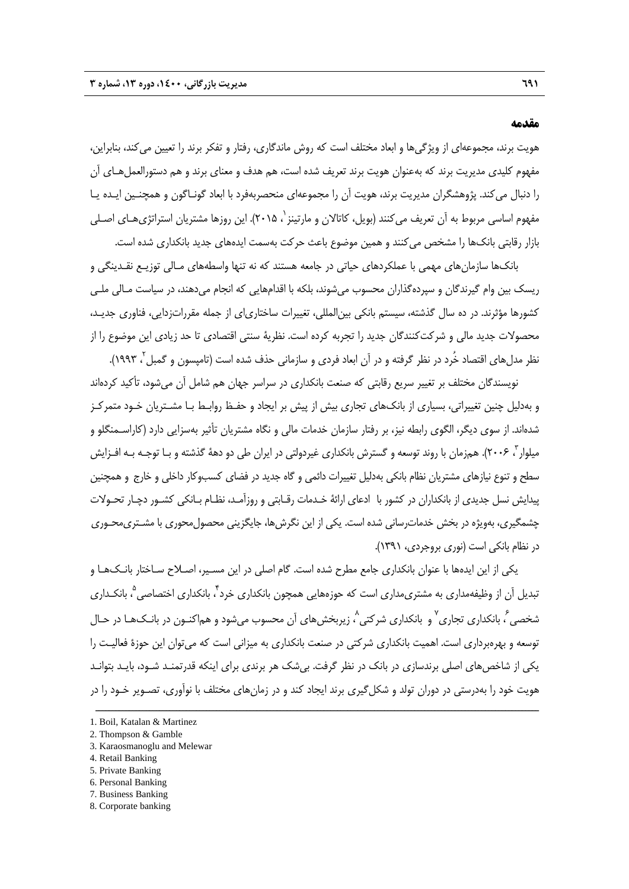#### **مقدمه**

هويت برند، مجموعهاي از ويژگيها و ابعاد مختلف است كه روش ماندگاري، رفتار و تفكر برند را تعيين ميكند، بنابراين، مفهوم كليدي مديريت برند كه بهعنوان هويت برند تعريف شده است، هم هدف و معناي برند و هم دستورالعملهـاي آن را دنبال ميكند. پژوهشگران مديريت برند، هويت آن را مجموعهاي منحصربهفرد با ابعاد گونـاگون و همچنـين ايـده يـا مفهوم اساسي مربوط به آن تعريف مي كنند (بويل، كاتالان و مارتينز `، ٢٠١۵). اين روزها مشتريان استراتژيهـاي اصـلي بازار رقابتي بانكها را مشخص ميكنند و همين موضوع باعث حركت بهسمت ايدههاي جديد بانكداري شده است.

بانكها سازمانهاي مهمي با عملكردهاي حياتي در جامعه هستند كه نه تنها واسطههاي مـالي توزيـع نقـدينگي و ريسك بين وام گيرندگان و سپردهگذاران محسوب ميشوند، بلكه با اقدامهايي كه انجام ميدهند، در سياست مـالي ملـي كشورها مؤثرند. در ده سال گذشته، سيستم بانكي بينالمللي، تغييرات ساختارياي از جمله مقرراتزدايي، فناوري جديـد، محصولات جديد مالي و شركتكنندگان جديد را تجربه كرده است. نظرية سنتي اقتصادي تا حد زيادي اين موضوع را از نظر مدلهاي اقتصاد خُرد در نظر گرفته و در آن ابعاد فردي و سازماني حذف شده است (تامپسون و گمبل ۲ ۱۹۹۳).

نويسندگان مختلف بر تغيير سريع رقابتي كه صنعت بانكداري در سراسر جهان هم شامل آن ميشود، تأكيد كردهاند و بهدليل چنين تغييراتي، بسياري از بانكهاي تجاري بيش از پيش بر ايجاد و حفـظ روابـط بـا مشـتريان خـود متمركـز شدهاند. از سوي ديگر، الگوي رابطه نيز، بر رفتار سازمان خدمات مالي و نگاه مشتريان تأثير بهسزايي دارد (كاراسـمنگلو و ميلوار با ۲۰۰۶). همزمان با روند توسعه و گسترش بانكداري غيردولتي در ايران طي دو دههٔ گذشته و بـا توجـه بـه افـزايش سطح و تنوع نيازهاي مشتريان نظام بانكي بهدليل تغييرات دائمي و گاه جديد در فضاي كسبوكار داخلي و خارج و همچنين پيدايش نسل جديدي از بانكداران در كشور با ادعاي ارائة خـدمات رقـابتي و روزآمـد، نظـام بـانكي كشـور دچـار تحـولات چشمگيري، بهويژه در بخش خدماترساني شده است. يكي از اين نگرشها، جايگزيني محصولمحوري با مشـتريمحـوري در نظام بانكي است (نوري بروجردي، 1391).

يكي از اين ايدهها با عنوان بانكداري جامع مطرح شده است. گام اصلي در اين مسـير، اصـلاح سـاختار بانـكهـا و تبديل آن از وظيفهمداري به مشتري مداري است كه حوزههايي همچون بانكداري خرد ً، بانكداري اختصاصي ؓ بانكـداري شخصی ً، بانکداری تجاری<sup>۷</sup> و بانکداری شرکتی ٔ، زیربخشهای آن محسوب میشود و هماکنـون در بانـکـهـا در حـال توسعه و بهرهبرداري است. اهميت بانكداري شركتي در صنعت بانكداري به ميزاني است كه ميتوان اين حوزة فعاليـت را يكي از شاخصهاي اصلي برندسازي در بانك در نظر گرفت. بيشك هر برندي براي اينكه قدرتمنـد شـود، بايـد بتوانـد هويت خود را بهدرستي در دوران تولد و شكل¢يري برند ايجاد كند و در زمانهاي مختلف با نوآوري، تصـوير خـود را در

ــــــــــــــــــــــــــــــــــــــــــــــــــــــــــــــــــــــــــــــــــــــــــــــــــــــــــــــــــــــــــــــــــــ

6. Personal Banking

<sup>1.</sup> Boil, Katalan & Martinez

<sup>2.</sup> Thompson & Gamble

<sup>3.</sup> Karaosmanoglu and Melewar

<sup>4.</sup> Retail Banking

<sup>5.</sup> Private Banking

<sup>7.</sup> Business Banking

<sup>8.</sup> Corporate banking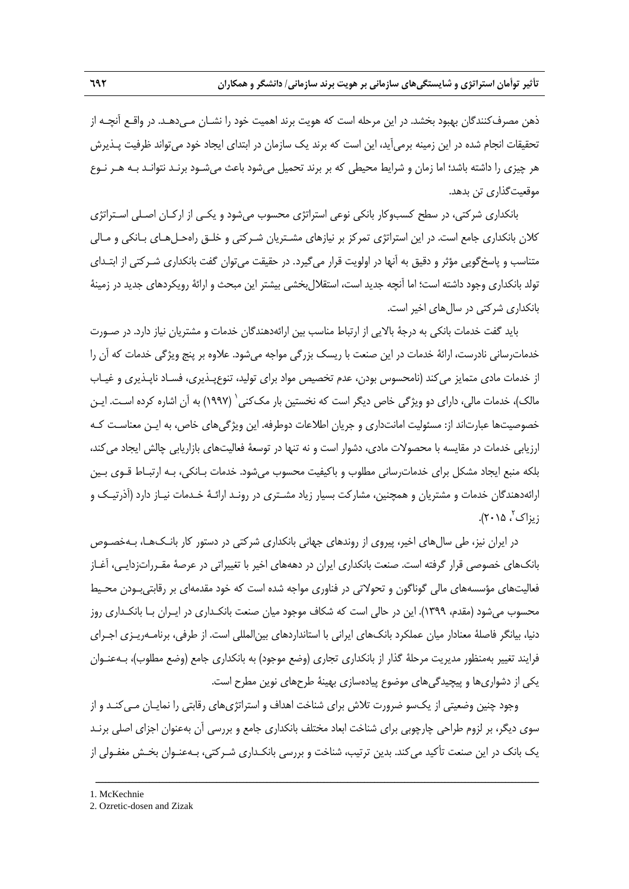ذهن مصرفكنندگان بهبود بخشد. در اين مرحله است كه هويت برند اهميت خود را نشـان مـيدهـد. در واقـع آنچـه از تحقيقات انجام شده در اين زمينه برميآيد، اين است كه برند يك سازمان در ابتداي ايجاد خود ميتواند ظرفيت پـذيرش هر چيزي را داشته باشد؛ اما زمان و شرايط محيطي كه بر برند تحميل ميشود باعث ميشـود برنـد نتوانـد بـه هـر نـوع موقعيتگذاري تن بدهد.

بانكداري شركتي، در سطح كسبوكار بانكي نوعي استراتژي محسوب ميشود و يكـي از اركـان اصـلي اسـتراتژي كلان بانكداري جامع است. در اين استراتژي تمركز بر نيازهاي مشـتريان شـركتي و خلـق راهحـلهـاي بـانكي و مـالي متناسب و پاسخگويي مؤثر و دقيق به آنها در اولويت قرار ميگيرد. در حقيقت ميتوان گفت بانكداري شـركتي از ابتـداي تولد بانكداري وجود داشته است؛ اما آنچه جديد است، استقلالبخشي بيشتر اين مبحث و ارائة رويكردهاي جديد در زمينة بانكداري شركتي در سالهاي اخير است.

بايد گفت خدمات بانكي به درجة بالايي از ارتباط مناسب بين ارائهدهندگان خدمات و مشتريان نياز دارد. در صـورت خدماترساني نادرست، ارائة خدمات در اين صنعت با ريسك بزرگي مواجه ميشود. علاوه بر پنج ويژگي خدمات كه آن را از خدمات مادي متمايز ميكند (نامحسوس بودن، عدم تخصيص مواد براي توليد، تنوعپـذيري، فسـاد ناپـذيري و غيـاب مالک)، خدمات مالي، داراي دو ويژگي خاص ديگر است كه نخستين بار مک¢ني` (١٩٩٧) به آن اشاره كرده اسـت. ايـن خصوصيتها عبارتاند از: مسئوليت امانتداري و جريان اطلاعات دوطرفه. اين ويژگيهاي خاص، به ايـن معناسـت كـه ارزيابي خدمات در مقايسه با محصولات مادي، دشوار است و نه تنها در توسعة فعاليتهاي بازاريابي چالش ايجاد ميكند، بلكه منبع ايجاد مشكل براي خدماترساني مطلوب و باكيفيت محسوب ميشود. خدمات بـانكي، بـه ارتبـاط قـوي بـين ارائهدهندگان خدمات و مشتريان و همچنين، مشاركت بسيار زياد مشـتري در رونـد ارائـة خـدمات نيـاز دارد (آذرتيـك و ، 2015). <sup>2</sup> زيزاك

در ايران نيز، طي سالهاي اخير، پيروي از روندهاي جهاني بانكداري شركتي در دستور كار بانـكهـا، بـهخصـوص بانكهاي خصوصي قرار گرفته است. صنعت بانكداري ايران در دهههاي اخير با تغييراتي در عرصة مقـرراتزدايـي، آغـاز فعاليتهاي مؤسسههاي مالي گوناگون و تحولاتي در فناوري مواجه شده است كه خود مقدمهاي بر رقابتيبـودن محـيط محسوب ميشود (مقدم، 1399). اين در حالي است كه شكاف موجود ميان صنعت بانكـداري در ايـران بـا بانكـداري روز دنيا، بيانگر فاصلة معنادار ميان عملكرد بانكهاي ايراني با استانداردهاي بينالمللي است. از طرفي، برنامـهريـزي اجـراي فرايند تغيير بهمنظور مديريت مرحلة گذار از بانكداري تجاري (وضع موجود) به بانكداري جامع (وضع مطلوب)، بـهعنـوان يكي از دشواريها و پيچيدگيهاي موضوع پيادهسازي بهينة طرحهاي نوين مطرح است.

وجود چنين وضعيتي از يكسو ضرورت تلاش براي شناخت اهداف و استراتژيهاي رقابتي را نمايـان مـيكنـد و از سوي ديگر، بر لزوم طراحي چارچوبي براي شناخت ابعاد مختلف بانكداري جامع و بررسي آن بهعنوان اجزاي اصلي برنـد يك بانك در اين صنعت تأكيد ميكند. بدين ترتيب، شناخت و بررسي بانكـداري شـركتي، بـهعنـوان بخـش مغفـولي از

<sup>1.</sup> McKechnie

<sup>2.</sup> Ozretic-dosen and Zizak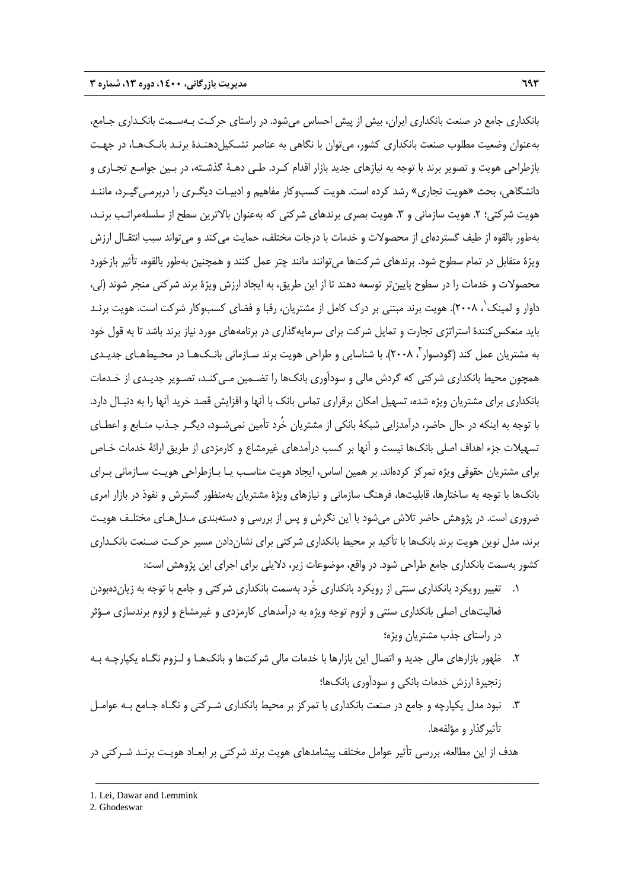بانكداري جامع در صنعت بانكداري ايران، بيش از پيش احساس ميشود. در راستاي حركـت بـهسـمت بانكـداري جـامع، بهعنوان وضعيت مطلوب صنعت بانكداري كشور، ميتوان با نگاهي به عناصر تشـكيلدهنـدة برنـد بانـكهـا، در جهـت بازطراحي هويت و تصوير برند با توجه به نيازهاي جديد بازار اقدام كـرد. طـي دهـة گذشـته، در بـين جوامـع تجـاري و دانشگاهي، بحث «هويت تجاري» رشد كرده است. هويت كسبوكار مفاهيم و ادبيـات ديگـري را دربرمـيگيـرد، ماننـد هويت شركتي؛ ٢. هويت سازماني و ٣. هويت بصري برندهاي شركتي كه بهعنوان بالاترين سطح از سلسلهمراتـب برنـد، بهطور بالقوه از طيف گستردهاي از محصولات و خدمات با درجات مختلف، حمايت ميكند و ميتواند سبب انتقـال ارزش ويژة متقابل در تمام سطوح شود. برندهاي شركتها ميتوانند مانند چتر عمل كنند و همچنين بهطور بالقوه، تأثير بازخورد محصولات و خدمات را در سطوح پايينتر توسعه دهند تا از اين طريق، به ايجاد ارزش ويژة برند شركتي منجر شوند (لي، داوار و لمينك ٰ، ٢٠٠٨). هويت برند مبتني بر درك كامل از مشتريان، رقبا و فضاي كسبوكار شركت است. هويت برنـد بايد منعكسكنندة استراتژي تجارت و تمايل شركت براي سرمايهگذاري در برنامههاي مورد نياز برند باشد تا به قول خود به مشتریان عمل کند (گودسوار<sup>۲</sup>، ۲۰۰۸). با شناسایی و طراحی هویت برند سـازمانی بانـکـهـا در محـیطهـای جدیـدی همچون محيط بانكداري شركتي كه گردش مالي و سودآوري بانكها را تضـمين مـيكنـد، تصـوير جديـدي از خـدمات بانكداري براي مشتريان ويژه شده، تسهيل امكان برقراري تماس بانك با آنها و افزايش قصد خريد آنها را به دنبـال دارد. با توجه به اينكه در حال حاضر، درآمدزايي شبكة بانكي از مشتريان خُرد تأمين نميشـود، ديگـر جـذب منـابع و اعطـاي تسهيلات جزء اهداف اصلي بانكها نيست و آنها بر كسب درآمدهاي غيرمشاع و كارمزدي از طريق ارائة خدمات خـاص براي مشتريان حقوقي ويژه تمركز كردهاند. بر همين اساس، ايجاد هويت مناسـب يـا بـازطراحي هويـت سـازماني بـراي بانكها با توجه به ساختارها، قابليتها، فرهنگ سازماني و نيازهاي ويژة مشتريان بهمنظور گسترش و نفوذ در بازار امري ضروري است. در پژوهش حاضر تلاش ميشود با اين نگرش و پس از بررسي و دستهبندي مـدلهـاي مختلـف هويـت برند، مدل نوين هويت برند بانكها با تأكيد بر محيط بانكداري شركتي براي نشاندادن مسير حركـت صـنعت بانكـداري كشور بهسمت بانكداري جامع طراحي شود. در واقع، موضوعات زير، دلايلي براي اجراي اين پژوهش است:

- .1 تغيير رويكرد بانكداري سنتي از رويكرد بانكداري خُرد بهسمت بانكداري شركتي و جامع با توجه به زياندهبودن فعاليتهاي اصلي بانكداري سنتي و لزوم توجه ويژه به درآمدهاي كارمزدي و غيرمشاع و لزوم برندسازي مـؤثر در راستاي جذب مشتريان ويژه؛
- .2 ظهور بازارهاي مالي جديد و اتصال اين بازارها با خدمات مالي شركتها و بانكهـا و لـزوم نگـاه يكپارچـه بـه زنجيرة ارزش خدمات بانكي و سودآوري بانكها؛
- .3 نبود مدل يكپارچه و جامع در صنعت بانكداري با تمركز بر محيط بانكداري شـركتي و نگـاه جـامع بـه عوامـل تأثيرگذار و مؤلفهها.

هدف از اين مطالعه، بررسي تأثير عوامل مختلف پيشامدهاي هويت برند شركتي بر ابعـاد هويـت برنـد شـركتي در

ــــــــــــــــــــــــــــــــــــــــــــــــــــــــــــــــــــــــــــــــــــــــــــــــــــــــــــــــــــــــــــــــــــ

2. Ghodeswar

<sup>1.</sup> Lei, Dawar and Lemmink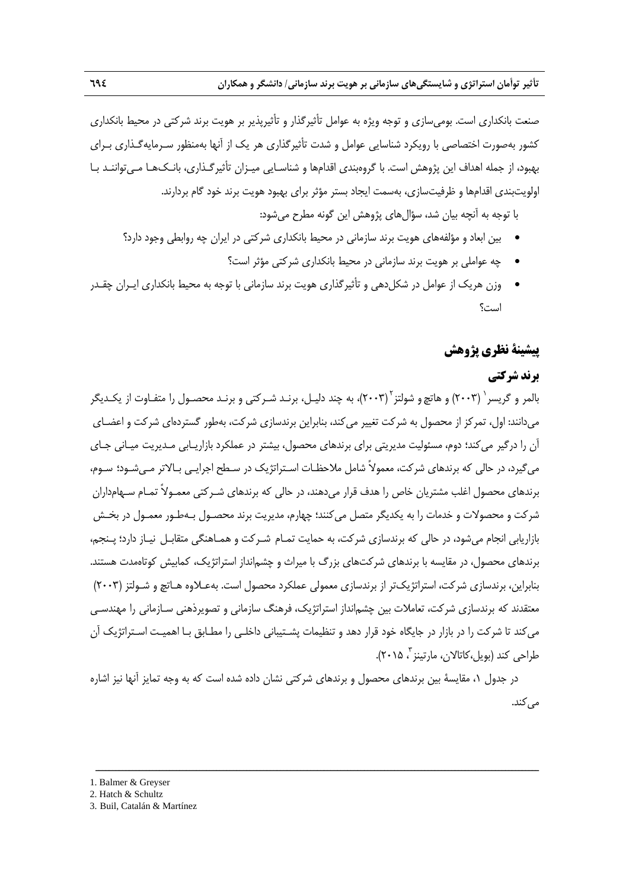صنعت بانكداري است. بوميسازي و توجه ويژه به عوامل تأثيرگذار و تأثيرپذير بر هويت برند شركتي در محيط بانكداري كشور بهصورت اختصاصي با رويكرد شناسايي عوامل و شدت تأثيرگذاري هر يك از آنها بهمنظور سـرمايهگـذاري بـراي بهبود، از جمله اهداف اين پژوهش است. با گروهبندي اقدامها و شناسـايي ميـزان تأثيرگـذاري، بانـكهـا مـيتواننـد بـا اولويتبندي اقدامها و ظرفيتسازي، بهسمت ايجاد بستر مؤثر براي بهبود هويت برند خود گام بردارند.

با توجه به آنچه بيان شد، سؤالهاي پژوهش اين گونه مطرح ميشود:

- بين ابعاد و مؤلفههاي هويت برند سازماني در محيط بانكداري شركتي در ايران چه روابطي وجود دارد؟
	- چه عواملي بر هويت برند سازماني در محيط بانكداري شركتي مؤثر است؟
- وزن هريك از عوامل در شكلدهي و تأثيرگذاري هويت برند سازماني با توجه به محيط بانكداري ايـران چقـدر است؟

# **پيشينة نظري پژوهش**

# **برند شركتي**

بالمر و گريسر ` (٢٠٠٣) و هاتچ و شولتز ``(٢٠٠٣)، به چند دليـل، برنـد شـركتي و برنـد محصـول را متفـاوت از يكـديگر ميدانند: اول، تمركز از محصول به شركت تغيير ميكند، بنابراين برندسازي شركت، بهطور گستردهاي شركت و اعضـاي آن را درگير ميكند؛ دوم، مسئوليت مديريتي براي برندهاي محصول، بيشتر در عملكرد بازاريـابي مـديريت ميـاني جـاي ميگيرد، در حالي كه برندهاي شركت، معمولاً شامل ملاحظـات اسـتراتژيك در سـطح اجرايـي بـالاتر مـيشـود؛ سـوم، برندهاي محصول اغلب مشتريان خاص را هدف قرار ميدهند، در حالي كه برندهاي شـركتي معمـولاً تمـام سـهامداران شركت و محصولات و خدمات را به يكديگر متصل ميكنند؛ چهارم، مديريت برند محصـول بـهطـور معمـول در بخـش بازاريابي انجام ميشود، در حالي كه برندسازي شركت، به حمايت تمـام شـركت و همـاهنگي متقابـل نيـاز دارد؛ پـنجم، برندهاي محصول، در مقايسه با برندهاي شركتهاي بزرگ با ميراث و چشمانداز استراتژيك، كمابيش كوتاهمدت هستند. بنابراين، برندسازي شركت، استراتژيكتر از برندسازي معمولي عملكرد محصول است. بهعـلاوه هـاتچ و شـولتز (2003) معتقدند كه برندسازي شركت، تعاملات بين چشمانداز استراتژيك، فرهنگ سازماني و تصويرذهني سـازماني را مهندسـي ميكند تا شركت را در بازار در جايگاه خود قرار دهد و تنظيمات پشـتيباني داخلـي را مطـابق بـا اهميـت اسـتراتژيك آن ، 2015). <sup>3</sup> طراحي كند (بويل،كاتالان، مارتينز

در جدول ،1 مقايسة بين برندهاي محصول و برندهاي شركتي نشان داده شده است كه به وجه تمايز آنها نيز اشاره مه كند.

ــــــــــــــــــــــــــــــــــــــــــــــــــــــــــــــــــــــــــــــــــــــــــــــــــــــــــــــــــــــــــــــــــــ

1. Balmer & Greyser

<sup>2.</sup> Hatch & Schultz

<sup>3.</sup> Buil, Catalán & Martínez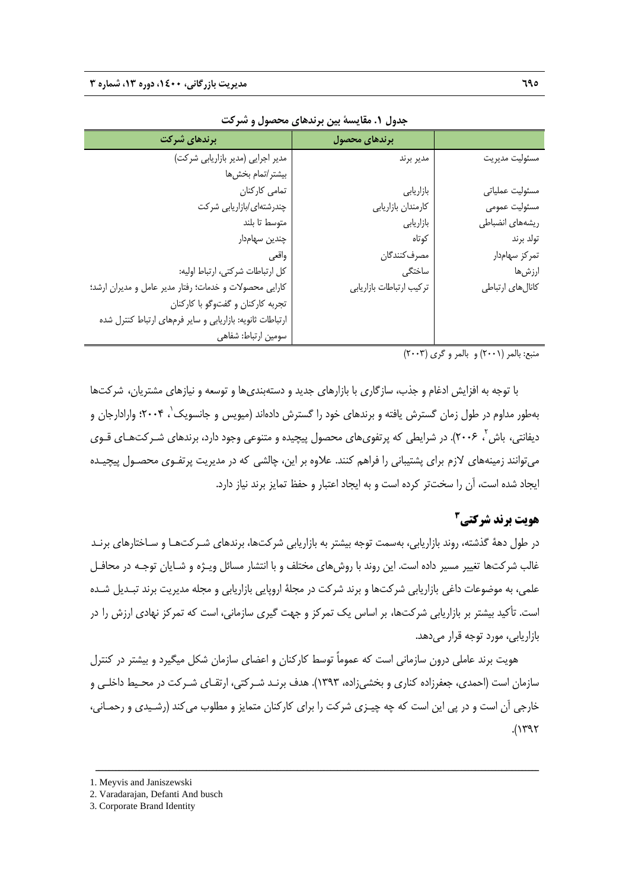| برندهای شرکت                                              | برندهای محصول            |                   |
|-----------------------------------------------------------|--------------------------|-------------------|
| مدیر اجرایی (مدیر بازاریابی شرکت)                         | مدير برند                | مسئوليت مديريت    |
| بيشتر/تمام بخشها                                          |                          |                   |
| تمامی کارکنان                                             | بازاريابي                | مسئوليت عملياتي   |
| چندرشتهای/بازاریابی شرکت                                  | كارمندان بازاريابي       | مسئوليت عمومى     |
| متوسط تا بلند                                             | بازاريابي                | ريشەهاي انضباطى   |
| چندین سهامدار                                             | كوتاه                    | تولد برند         |
| واقعى                                                     | مصرف كنندگان             | تمركز سهامدار     |
| كل ارتباطات شركتي، ارتباط اوليه:                          | ساختگى                   | ارزشها            |
| كارايي محصولات و خدمات؛ رفتار مدير عامل و مديران ارشد؛    | تركيب ارتباطات بازاريابي | كانال هاى ارتباطي |
| تجربه كاركنان و گفتوگو با كاركنان                         |                          |                   |
| ارتباطات ثانویه: بازاریابی و سایر فرمهای ارتباط کنترل شده |                          |                   |
| سومين ارتباط: شفاهي                                       |                          |                   |

**جدول .1 مقايسة بين برندهاي محصول و شركت**

منبع: بالمر (2001) و بالمر و گري (2003)

با توجه به افزايش ادغام و جذب، سازگاري با بازارهاي جديد و دستهبنديها و توسعه و نيازهاي مشتريان، شركتها بهطور مداوم در طول زمان گسترش يافته و برندهاي خود را گسترش دادهاند (ميويس و جانسويك 1 ، 2004؛ وارادارجان و ديفانتي، باش ، ٢٠٠۶). در شرايطي كه پرتفويهاي محصول پيچيده و متنوعي وجود دارد، برندهاي شـركتهـاي قـوي ميتوانند زمينههاي لازم براي پشتيباني را فراهم كنند. علاوه بر اين، چالشي كه در مديريت پرتفـوي محصـول پيچيـده ايجاد شده است، آن را سختتر كرده است و به ايجاد اعتبار و حفظ تمايز برند نياز دارد.

## **<sup>3</sup> هويت برند شركتي**

در طول دهة گذشته، روند بازاريابي، بهسمت توجه بيشتر به بازاريابي شركتها، برندهاي شـركتهـا و سـاختارهاي برنـد غالب شركتها تغيير مسير داده است. اين روند با روشهاي مختلف و با انتشار مسائل ويـژه و شـايان توجـه در محافـل علمي، به موضوعات داغي بازاريابي شركتها و برند شركت در مجلة اروپايي بازاريابي و مجله مديريت برند تبـديل شـده است. تأكيد بيشتر بر بازاريابي شركتها، بر اساس يك تمركز و جهت گيري سازماني، است كه تمركز نهادي ارزش را در بازاريابي، مورد توجه قرار مي دهد.

هويت برند عاملي درون سازماني است كه عموماً توسط كاركنان و اعضاي سازمان شكل ميگيرد و بيشتر در كنترل سازمان است (احمدي، جعفرزاده كناري و بخشيزاده، 1393). هدف برنـد شـركتي، ارتقـاي شـركت در محـيط داخلـي و خارجي آن است و در پي اين است كه چه چيـزي شركت را براي كاركنان متمايز و مطلوب ميكند (رشـيدي و رحمـاني،  $(1797)$ 

- 1. Meyvis and Janiszewski
- 2. Varadarajan, Defanti And busch

<sup>3.</sup> Corporate Brand Identity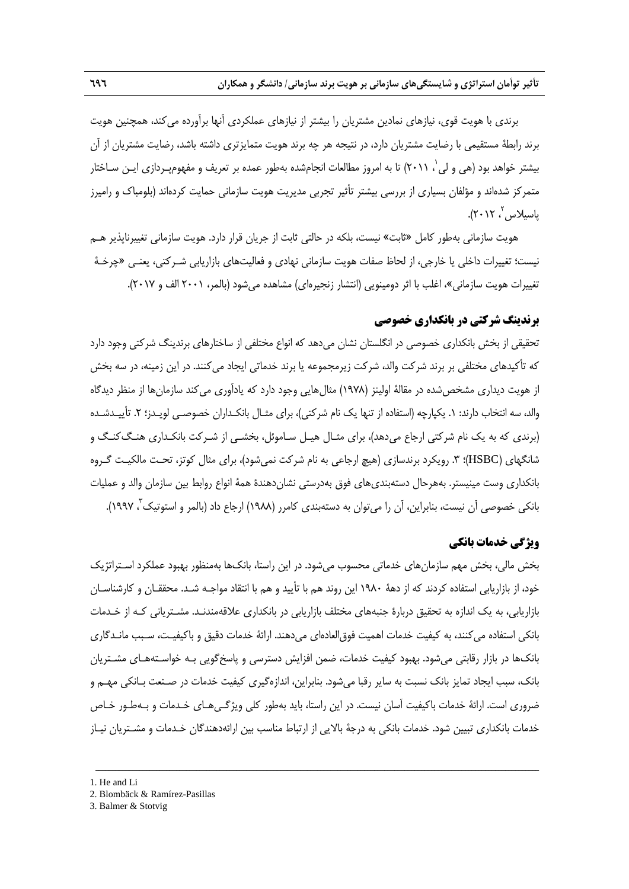برندي با هويت قوي، نيازهاي نمادين مشتريان را بيشتر از نيازهاي عملكردي آنها برآورده ميكند، همچنين هويت برند رابطة مستقيمي با رضايت مشتريان دارد، در نتيجه هر چه برند هويت متمايزتري داشته باشد، رضايت مشتريان از آن بيشتر خواهد بود (هي و لي ٰ، ٢٠١١) تا به امروز مطالعات انجامشده بهطور عمده بر تعريف و مفهومپـردازي ايـن سـاختار متمركز شدهاند و مؤلفان بسياري از بررسي بيشتر تأثير تجربي مديريت هويت سازماني حمايت كردهاند (بلومباك و راميرز ، 2012). <sup>2</sup> پاسيلاس

هويت سازماني بهطور كامل «ثابت» نيست، بلكه در حالتي ثابت از جريان قرار دارد. هويت سازماني تغييرناپذير هـم نيست؛ تغييرات داخلي يا خارجي، از لحاظ صفات هويت سازماني نهادي و فعاليتهاي بازاريابي شـركتي، يعنـي «چرخـة تغييرات هويت سازماني»، اغلب با اثر دومينويي (انتشار زنجيرهاي) مشاهده ميشود (بالمر، 2001 الف و 2017).

# **برندينگ شركتي در بانكداري خصوصي**

تحقيقي از بخش بانكداري خصوصي در انگلستان نشان ميدهد كه انواع مختلفي از ساختارهاي برندينگ شركتي وجود دارد كه تأكيدهاي مختلفي بر برند شركت والد، شركت زيرمجموعه يا برند خدماتي ايجاد ميكنند. در اين زمينه، در سه بخش از هويت ديداري مشخصشده در مقالة اولينز (1978) مثالهايي وجود دارد كه يادآوري ميكند سازمانها از منظر ديدگاه والد، سه انتخاب دارند: .1 يكپارچه (استفاده از تنها يك نام شركتي)، براي مثـال بانكـداران خصوصـي لويـدز؛ .2 تأييـدشـده (برندي كه به يك نام شركتي ارجاع ميدهد)، براي مثـال هيـل سـاموئل، بخشـي از شـركت بانكـداري هنـگكنـگ و شانگهاي (HSBC)؛ ٣. رويكرد برندسازي (هيچ ارجاعي به نام شركت نميشود)، براي مثال كوتز، تحـت مالكيـت گـروه بانكداري وست مينيستر. بههرحال دستهبنديهاي فوق بهدرستي نشاندهندة همة انواع روابط بين سازمان والد و عمليات بانكي خصوصي آن نيست، بنابراين، آن را ميتوان به دستهبندي كامرر (١٩٨٨) ارجاع داد (بالمر و استوتيك ً، ١٩٩٧).

# **ويژگي خدمات بانكي**

بخش مالي، بخش مهم سازمانهاي خدماتي محسوب ميشود. در اين راستا، بانكها بهمنظور بهبود عملكرد اسـتراتژيك خود، از بازاريابي استفاده كردند كه از دهة 1980 اين روند هم با تأييد و هم با انتقاد مواجـه شـد. محققـان و كارشناسـان بازاريابي، به يك اندازه به تحقيق دربارة جنبههاي مختلف بازاريابي در بانكداري علاقهمندنـد. مشـترياني كـه از خـدمات بانكي استفاده ميكنند، به كيفيت خدمات اهميت فوقالعادهاي ميدهند. ارائة خدمات دقيق و باكيفيـت، سـبب مانـدگاري بانكها در بازار رقابتي ميشود. بهبود كيفيت خدمات، ضمن افزايش دسترسي و پاسخگويي بـه خواسـتههـاي مشـتريان بانك، سبب ايجاد تمايز بانك نسبت به ساير رقبا ميشود. بنابراين، اندازهگيري كيفيت خدمات در صـنعت بـانكي مهـم و ضروري است. ارائة خدمات باكيفيت آسان نيست. در اين راستا، بايد بهطور كلي ويژگـيهـاي خـدمات و بـهطـور خـاص خدمات بانكداري تبيين شود. خدمات بانكي به درجة بالايي از ارتباط مناسب بين ارائهدهندگان خـدمات و مشـتريان نيـاز

<sup>1.</sup> He and Li

<sup>2.</sup> Blombäck & Ramírez-Pasillas

<sup>3.</sup> Balmer & Stotvig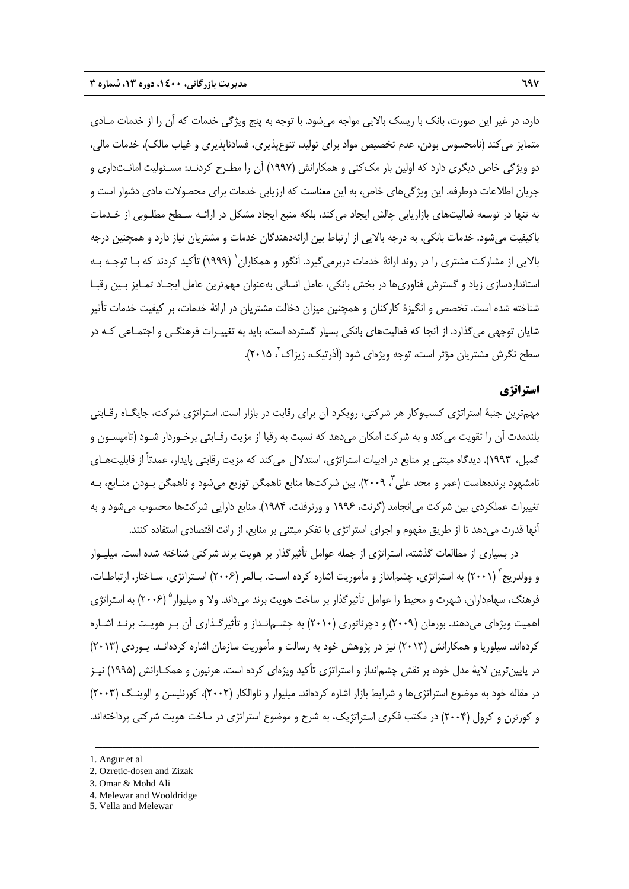دارد، در غير اين صورت، بانك با ريسك بالايي مواجه ميشود. با توجه به پنج ويژگي خدمات كه آن را از خدمات مـادي متمايز ميكند (نامحسوس بودن، عدم تخصيص مواد براي توليد، تنوعپذيري، فسادناپذيري و غياب مالك)، خدمات مالي، دو ويژگي خاص ديگري دارد كه اولين بار مككني و همكارانش (1997) آن را مطـرح كردنـد: مسـئوليت امانـتداري و جريان اطلاعات دوطرفه. اين ويژگيهاي خاص، به اين معناست كه ارزيابي خدمات براي محصولات مادي دشوار است و نه تنها در توسعه فعاليتهاي بازاريابي چالش ايجاد ميكند، بلكه منبع ايجاد مشكل در ارائـه سـطح مطلـوبي از خـدمات باكيفيت ميشود. خدمات بانكي، به درجه بالايي از ارتباط بين ارائهدهندگان خدمات و مشتريان نياز دارد و همچنين درجه 1 بالايي از مشاركت مشتري را در روند ارائة خدمات دربرميگيرد. آنگور و همكاران (1999) تأكيد كردند كه بـا توجـه بـه استانداردسازي زياد و گسترش فناوريها در بخش بانكي، عامل انساني بهعنوان مهمترين عامل ايجـاد تمـايز بـين رقبـا شناخته شده است. تخصص و انگيزة كاركنان و همچنين ميزان دخالت مشتريان در ارائة خدمات، بر كيفيت خدمات تأثير شايان توجهي ميگذارد. از آنجا كه فعاليتهاي بانكي بسيار گسترده است، بايد به تغييـرات فرهنگـي و اجتمـاعي كـه در سطح نگرش مشتريان مؤثر است، توجه ويژهاي شود (آذرتيک، زيزاک ً، ۲۰۱۵).

# **استراتژي**

مهمترين جنبة استراتژي كسبوكار هر شركتي، رويكرد آن براي رقابت در بازار است. استراتژي شركت، جايگـاه رقـابتي بلندمدت آن را تقويت ميكند و به شركت امكان ميدهد كه نسبت به رقبا از مزيت رقـابتي برخـوردار شـود (تامپسـون و گمبل، 1993). ديدگاه مبتني بر منابع در ادبيات استراتژي، استدلال ميكند كه مزيت رقابتي پايدار، عمدتاً از قابليتهـاي نامشهود برندههاست (عمر و محد علی ّ، ۲۰۰۹). بین شرکتها منابع ناهمگن توزیع میشود و ناهمگن بـودن منـابع، بـه تغييرات عملكردي بين شركت ميانجامد (گرنت، 1996 و ورنرفلت، 1984). منابع دارايي شركتها محسوب ميشود و به آنها قدرت ميدهد تا از طريق مفهوم و اجراي استراتژي با تفكر مبتني بر منابع، از رانت اقتصادي استفاده كنند.

در بسياري از مطالعات گذشته، استراتژي از جمله عوامل تأثيرگذار بر هويت برند شركتي شناخته شده است. ميليـوار و وولدريج (2001) به استراتژي، چشمانداز و مأموريت اشاره كرده اسـت. بـالمر (2006) اسـتراتژي، سـاختار، ارتباطـات، <sup>4</sup> فرهنگ، سهامداران، شهرت و محيط را عوامل تأثيرگذار بر ساخت هويت برند ميداند. ولا و ميليوار<sup>ه</sup> (۲۰۰۶) به استراتژي اهميت ويژهاي ميدهند. بورمان (2009) و دچرناتوري (2010) به چشـمانـداز و تأثيرگـذاري آن بـر هويـت برنـد اشـاره كردهاند. سيلوريا و همكارانش (2013) نيز در پژوهش خود به رسالت و مأموريت سازمان اشاره كردهانـد. يـوردي (2013) در پايينترين لاية مدل خود، بر نقش چشمانداز و استراتژي تأكيد ويژهاي كرده است. هرنيون و همكـارانش (1995) نيـز در مقاله خود به موضوع استراتژيها و شرايط بازار اشاره كردهاند. ميليوار و ناوالكار (2002)، كورنليسن و الوينـگ (2003) و كورئرن و كرول (2004) در مكتب فكري استراتژيك، به شرح و موضوع استراتژي در ساخت هويت شركتي پرداختهاند.

<sup>1.</sup> Angur et al

<sup>2.</sup> Ozretic-dosen and Zizak

<sup>3.</sup> Omar & Mohd Ali

<sup>4.</sup> Melewar and Wooldridge

<sup>5.</sup> Vella and Melewar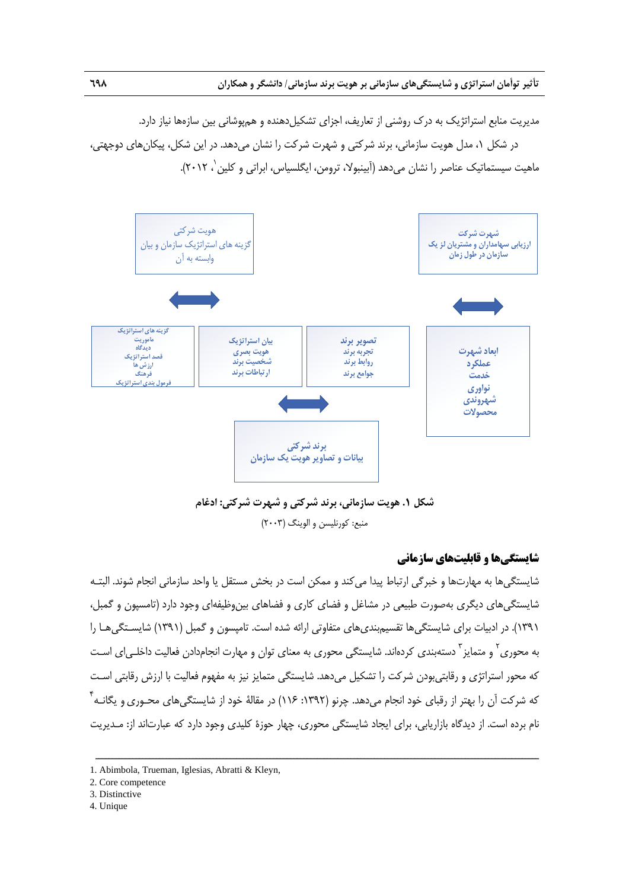مديريت منابع استراتژيک به درک روشني از تعاريف، اجزاي تشکيل دهنده و همپوشاني بين سازهها نياز دارد.

در شكل ،1 مدل هويت سازماني، برند شركتي و شهرت شركت را نشان ميدهد. در اين شكل، پيكانهاي دوجهتي، ماهيت سيستماتيک عناصر را نشان مي دهد (آبينبولا، ترومن، ايگلسياس، ابراتي و کلين `، ٢٠١٢).



**شكل .1 هويت سازماني، برند شركتي و شهرت شركتي: ادغام**  منبع: كورنليسن و الوينگ (2003)

### **شايستگيها و قابليتهاي سازماني**

شايستگيها به مهارتها و خبرگي ارتباط پيدا ميكند و ممكن است در بخش مستقل يا واحد سازماني انجام شوند. البتـه شايستگيهاي ديگري بهصورت طبيعي در مشاغل و فضاي كاري و فضاهاي بينوظيفهاي وجود دارد (تامسپون و گمبل، 1391). در ادبيات براي شايستگيها تقسيمبنديهاي متفاوتي ارائه شده است. تامپسون و گمبل (1391) شايسـتگيهـا را به محوری<sup>۲</sup> و متمایز <sup>۳</sup> دستهبندی کردهاند. شایستگی محوری به معنای توان و مهارت انجامدادن فعالیت داخلـی|ی اسـت كه محور استراتژي و رقابتيبودن شركت را تشكيل ميدهد. شايستگي متمايز نيز به مفهوم فعاليت با ارزش رقابتي اسـت كه شركت آن را بهتر از رقباى خود انجام مىدهد. چرنو (١٣٩٢: ١١۶) در مقالهٔ خود از شايستگىهاى محـورى و يگانـه <sup>۴</sup> نام برده است. از ديدگاه بازاريابي، براي ايجاد شايستگي محوري، چهار حوزة كليدي وجود دارد كه عبارتاند از: مـديريت

- 3. Distinctive
- 4. Unique

<sup>1.</sup> Abimbola, Trueman, Iglesias, Abratti & Kleyn,

<sup>2.</sup> Core competence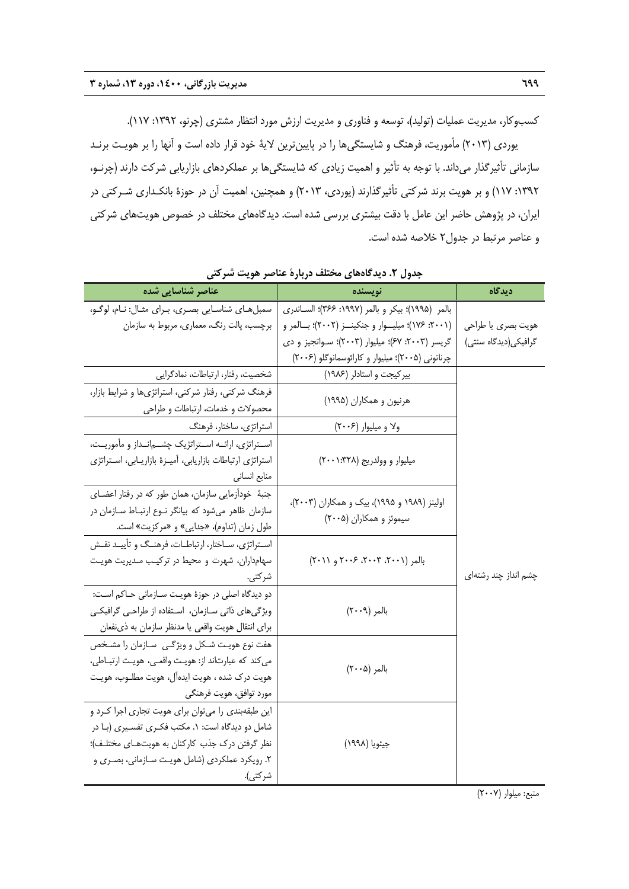كسبوكار، مديريت عمليات (توليد)، توسعه و فناوري و مديريت ارزش مورد انتظار مشتري (چرنو، :1392 117). يوردي (2013) مأموريت، فرهنگ و شايستگيها را در پايينترين لاية خود قرار داده است و آنها را بر هويـت برنـد سازماني تأثيرگذار ميداند. با توجه به تأثير و اهميت زيادي كه شايستگيها بر عملكردهاي بازاريابي شركت دارند (چرنـو، :1392 117) و بر هويت برند شركتي تأثيرگذارند (يوردي، 2013) و همچنين، اهميت آن در حوزة بانكـداري شـركتي در ايران، در پژوهش حاضر اين عامل با دقت بيشتري بررسي شده است. ديدگاههاي مختلف در خصوص هويتهاي شركتي و عناصر مرتبط در جدول2 خلاصه شده است.

| عناصر شناسایی شده                                          | نويسنده                                           | ديدگاه               |
|------------------------------------------------------------|---------------------------------------------------|----------------------|
| سمبلهـاي شناسـايي بصـري، بـراي مثـال: نـام، لوگـو،         | بالمر (١٩٩۵)؛ بيكر و بالمر (١٩٩٧: ٣۶۶)؛ السـاندري |                      |
| برچسب، پالت رنگ، معماري، مربوط به سازمان                   | (۲۰۰۱: ۱۷۶)؛ میلیوار و جنکینز (۲۰۰۲)؛ بالمر و     | هويت بصرى يا طراحي   |
|                                                            | گریسر (۲۰۰۳: ۶۷)؛ میلیوار (۲۰۰۳)؛ سواتجیز و دی    | گرافیکی(دیدگاه سنتی) |
|                                                            | چرناتونی (۲۰۰۵)؛ میلیوار و کارائوسمانوگلو (۲۰۰۶)  |                      |
| شخصیت، رفتار، ارتباطات، نمادگرایی                          | بیر کیجت و استادلر (۱۹۸۶)                         |                      |
| فرهنگ شرکتی، رفتار شرکتی، استراتژیها و شرایط بازار،        | هرنیون و همکاران (۱۹۹۵)                           |                      |
| محصولات و خدمات، ارتباطات و طراحی                          |                                                   |                      |
| استراتژی، ساختار، فرهنگ                                    | ولا و میلیوار (۲۰۰۶)                              |                      |
| اسـتراتژي، ارائــه اسـتراتژيک چشــمانــداز و مأموريــت،    |                                                   |                      |
| استراتژی ارتباطات بازاریابی، آمیـزهٔ بازاریـابی، اسـتراتژی | میلیوار و وولدریج (۳۲۸: ۲۰۰۱)                     |                      |
| منابع انسانى                                               |                                                   |                      |
| جنبهٔ خودآزمایی سازمان، همان طور که در رفتار اعضـای        |                                                   |                      |
| سازمان ظاهر میشود که بیانگر نوع ارتباط سازمان در           | اولینز (۱۹۸۹ و ۱۹۹۵)، بیک و همکاران (۲۰۰۳)،       |                      |
| طول زمان (تداوم)، «جدایی» و «مرکزیت» است.                  | سیموئز و همکاران (۲۰۰۵)                           |                      |
| استراتژی، سـاختار، ارتباطـات، فرهنـگ و تأييـد نقـش         |                                                   |                      |
| سهامداران، شهرت و محیط در ترکیب مـدیریت هویـت              | بالمر (۲۰۰۱، ۲۰۰۳، ۲۰۰۶ و ۲۰۱۱)                   |                      |
| شر کتی.                                                    |                                                   | چشم انداز چند رشتهای |
| دو دیدگاه اصلی در حوزهٔ هویت سـازمانی حـاکم اسـت:          |                                                   |                      |
| ویژگیهای ذاتی سـازمان، اسـتفاده از طراحـی گرافیکـی         | بالمر (٢٠٠٩)                                      |                      |
| براي انتقال هويت واقعي يا مدنظر سازمان به ذي نفعان         |                                                   |                      |
| هفت نوع هويت شكل و ويژگـى ٍ سـازمان را مشـخص               |                                                   |                      |
| مي كند كه عبارتاند از: هويت واقعي، هويت ارتباطي،           | بالمر (٢٠٠۵)                                      |                      |
| هويت درك شده ، هويت ايدهآل، هويت مطلـوب، هويـت             |                                                   |                      |
| مورد توافق، هويت فرهنگي                                    |                                                   |                      |
| این طبقهبندی را میتوان برای هویت تجاری اجرا کرد و          |                                                   |                      |
| شامل دو دیدگاه است: ۱. مکتب فکـری تفسـیری (بـا در          |                                                   |                      |
| نظر گرفتن درک جذب کارکنان به هویتهای مختلف)؛               | جيئويا (١٩٩٨)                                     |                      |
| ۲. رویکرد عملکردی (شامل هویت سـازمانی، بصـری و             |                                                   |                      |
| شر كتى).                                                   |                                                   |                      |

**جدول .2 ديدگاههاي مختلف دربارة عناصر هويت شركتي** 

منبع: ميلوار (2007)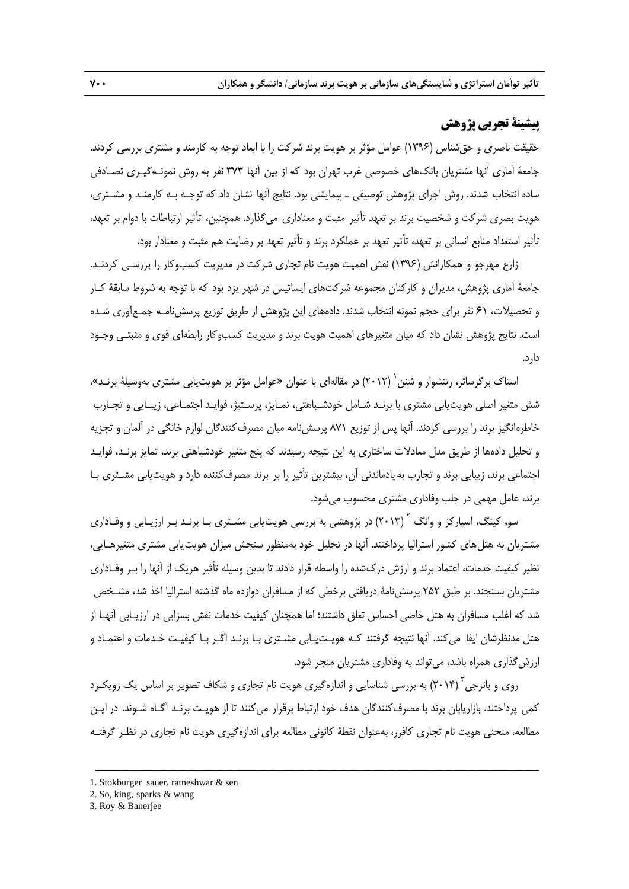# **پيشينة تجربي پژوهش**

حقيقت ناصري و حقشناس (1396) عوامل مؤثر بر هويت برند شركت را با ابعاد توجه به كارمند و مشتري بررسي كردند. جامعة آماري آنها مشتريان بانكهاي خصوصي غرب تهران بود كه از بين آنها 373 نفر به روش نمونـهگيـري تصـادفي ساده انتخاب شدند. روش اجراي پژوهش توصيفي ـ پيمايشي بود. نتايج آنها نشان داد كه توجـه بـه كارمنـد و مشـتري، هويت بصري شركت و شخصيت برند بر تعهد تأثير مثبت و معناداري ميگذارد. همچنين، تأثير ارتباطات با دوام بر تعهد، تأثير استعداد منابع انساني بر تعهد، تأثير تعهد بر عملكرد برند و تأثير تعهد بر رضايت هم مثبت و معنادار بود.

زارع مهرجو و همكارانش (1396) نقش اهميت هويت نام تجاري شركت در مديريت كسبوكار را بررسـي كردنـد. جامعة آماري پژوهش، مديران و كاركنان مجموعه شركتهاي ايساتيس در شهر يزد بود كه با توجه به شروط سابقة كـار و تحصيلات، 61 نفر براي حجم نمونه انتخاب شدند. دادههاي اين پژوهش از طريق توزيع پرسشنامـه جمـعآوري شـده است. نتايج پژوهش نشان داد كه ميان متغيرهاي اهميت هويت برند و مديريت كسبوكار رابطهاي قوي و مثبتـي وجـود دارد.

استاک بر گرسائر، رتنشوار و شنن <sup>(</sup> (۲۰۱۲) در مقالهاي با عنوان «عوامل مؤثر بر هويت.پابي مشتري بهوسيلهٔ برنـد»، شش متغير اصلي هويتيابي مشتري با برنـد شـامل خودشـباهتي، تمـايز، پرسـتيژ، فوايـد اجتمـاعي، زيبـايي و تجـارب خاطرهانگيز برند را بررسي كردند. آنها پس از توزيع 871 پرسشنامه ميان مصرفكنندگان لوازم خانگي در آلمان و تجزيه و تحليل دادهها از طريق مدل معادلات ساختاري به اين نتيجه رسيدند كه پنج متغير خودشباهتي برند، تمايز برنـد، فوايـد اجتماعي برند، زيبايي برند و تجارب بهيادماندني آن، بيشترين تأثير را بر برند مصرفكننده دارد و هويتيابي مشـتري بـا برند، عامل مهمي در جلب وفاداري مشتري محسوب ميشود.

سو، كينگ، اسپاركز و وانگ <sup>۲</sup> (۲۰۱۳) در پژوهشي به بررسي هويت<u>ي</u>ابي مشـتري بـا برنـد بـر ارزيـابي و وفـاداري مشتريان به هتلهاي كشور استراليا پرداختند. آنها در تحليل خود بهمنظور سنجش ميزان هويتيابي مشتري متغيرهـايي، نظير كيفيت خدمات، اعتماد برند و ارزش دركشده را واسطه قرار دادند تا بدين وسيله تأثير هريك از آنها را بـر وفـاداري مشتريان بسنجند. بر طبق 252 پرسشنامة دريافتي برخطي كه از مسافران دوازده ماه گذشته استراليا اخذ شد، مشـخص شد كه اغلب مسافران به هتل خاصي احساس تعلق داشتند؛ اما همچنان كيفيت خدمات نقش بسزايي در ارزيـابي آنهـا از هتل مدنظرشان ايفا ميكند. آنها نتيجه گرفتند كـه هويـتيـابي مشـتري بـا برنـد اگـر بـا كيفيـت خـدمات و اعتمـاد و ارزشگذاري همراه باشد، ميتواند به وفاداري مشتريان منجر شود.

روی و بانرجی<sup>۳</sup> (۲۰۱۴) به بررسی شناسایی و اندازهگیری هویت نام تجاری و شکاف تصویر بر اساس یک رویکـرد كمي پرداختند. بازاريابان برند با مصرفكنندگان هدف خود ارتباط برقرار ميكنند تا از هويـت برنـد آگـاه شـوند. در ايـن مطالعه، منحني هويت نام تجاري كافرر، بهعنوان نقطة كانوني مطالعه براي اندازهگيري هويت نام تجاري در نظـر گرفتـه

<sup>1.</sup> Stokburger sauer, ratneshwar & sen

<sup>2.</sup> So, king, sparks & wang

<sup>3.</sup> Roy & Banerjee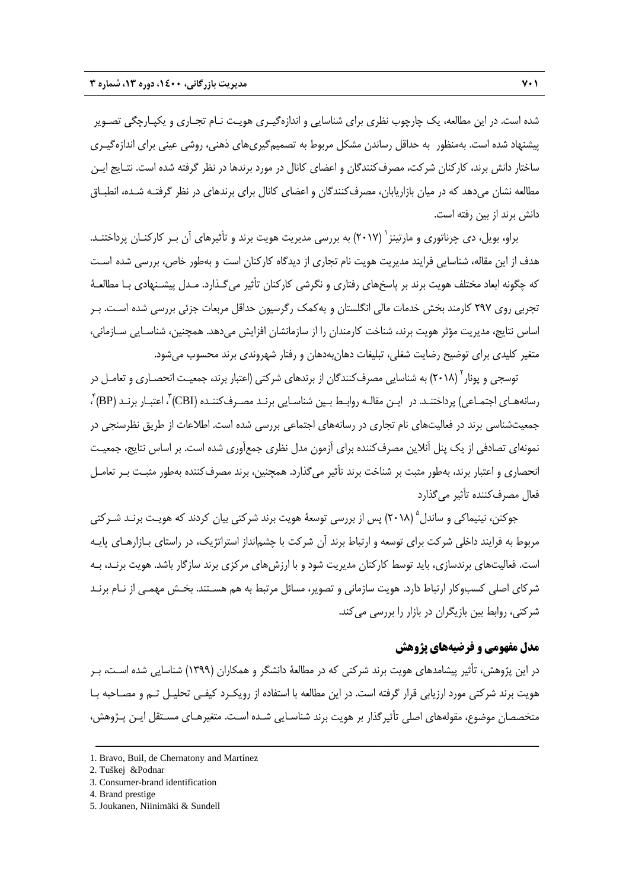شده است. در اين مطالعه، يك چارچوب نظري براي شناسايي و اندازهگيـري هويـت نـام تجـاري و يكپـارچگي تصـوير پيشنهاد شده است. بهمنظور به حداقل رساندن مشكل مربوط به تصميمگيريهاي ذهني، روشي عيني براي اندازهگيـري ساختار دانش برند، كاركنان شركت، مصرفكنندگان و اعضاي كانال در مورد برندها در نظر گرفته شده است. نتـايج ايـن مطالعه نشان ميدهد كه در ميان بازاريابان، مصرفكنندگان و اعضاي كانال براي برندهاي در نظر گرفتـه شـده، انطبـاق دانش برند از بين رفته است.

براو، بويل، دي چرناتوري و مارتينز ` (٢٠١٧) به بررسي مديريت هويت برند و تأثيرهاي آن بـر كاركنـان پرداختنـد. هدف از اين مقاله، شناسايي فرايند مديريت هويت نام تجاري از ديدگاه كاركنان است و بهطور خاص، بررسي شده اسـت كه چگونه ابعاد مختلف هويت برند بر پاسخهاي رفتاري و نگرشي كاركنان تأثير ميگـذارد. مـدل پيشـنهادي بـا مطالعـة تجربي روي 297 كارمند بخش خدمات مالي انگلستان و بهكمك رگرسيون حداقل مربعات جزئي بررسي شده اسـت. بـر اساس نتايج، مديريت مؤثر هويت برند، شناخت كارمندان را از سازمانشان افزايش ميدهد. همچنين، شناسـايي سـازماني، متغير كليدي براي توضيح رضايت شغلي، تبليغات دهانبهدهان و رفتار شهروندي برند محسوب ميشود.

توسجی و پونار<sup>۲</sup> (۲۰۱۸) به شناسایی مصرف¢کنندگان از برندهای شرکتی (اعتبار برند، جمعیـت انحصـاری و تعامـل در  $\rm ^{r}(BP)$  اجتمـاعی) پرداختنـد. در  $\rm _{1}$  اسن مقالـه روابـط بـين شناسـايی برنـد مصـرف<code>كننـده</code> (CBI) (CBI) اعتبـار برنـد ، جمعيتشناسي برند در فعاليتهاي نام تجاري در رسانههاي اجتماعي بررسي شده است. اطلاعات از طريق نظرسنجي در نمونهاي تصادفي از يك پنل آنلاين مصرفكننده براي آزمون مدل نظري جمعآوري شده است. بر اساس نتايج، جمعيـت انحصاري و اعتبار برند، بهطور مثبت بر شناخت برند تأثير ميگذارد. همچنين، برند مصرفكننده بهطور مثبـت بـر تعامـل فعال مصرفكننده تأثير ميگذارد

جوكنن، نينيماكي و ساندل<sup>۵</sup> (٢٠١٨) پس از بررسي توسعهٔ هويت برند شركتي بيان كردند كه هويـت برنـد شـركتي مربوط به فرايند داخلي شركت براي توسعه و ارتباط برند آن شركت با چشمانداز استراتژيك، در راستاي بـازارهـاي پايـه است. فعاليتهاي برندسازي، بايد توسط كاركنان مديريت شود و با ارزشهاي مركزي برند سازگار باشد. هويت برنـد، بـه شركاي اصلي كسبوكار ارتباط دارد. هويت سازماني و تصوير، مسائل مرتبط به هم هسـتند. بخـش مهمـي از نـام برنـد شركتي، روابط بين بازيگران در بازار را بررسي ميكند.

# **مدل مفهومي و فرضيههاي پژوهش**

در اين پژوهش، تأثير پيشامدهاي هويت برند شركتي كه در مطالعة دانشگر و همكاران (1399) شناسايي شده اسـت، بـر هويت برند شركتي مورد ارزيابي قرار گرفته است. در اين مطالعه با استفاده از رويكـرد كيفـي تحليـل تـم و مصـاحبه بـا متخصصان موضوع، مقولههاي اصلي تأثيرگذار بر هويت برند شناسـايي شـده اسـت. متغيرهـاي مسـتقل ايـن پـژوهش،

<sup>1.</sup> Bravo, Buil, de Chernatony and Martínez

<sup>2.</sup> Tuškej &Podnar

<sup>3.</sup> Consumer-brand identification

<sup>4.</sup> Brand prestige

<sup>5.</sup> Joukanen, Niinimäki & Sundell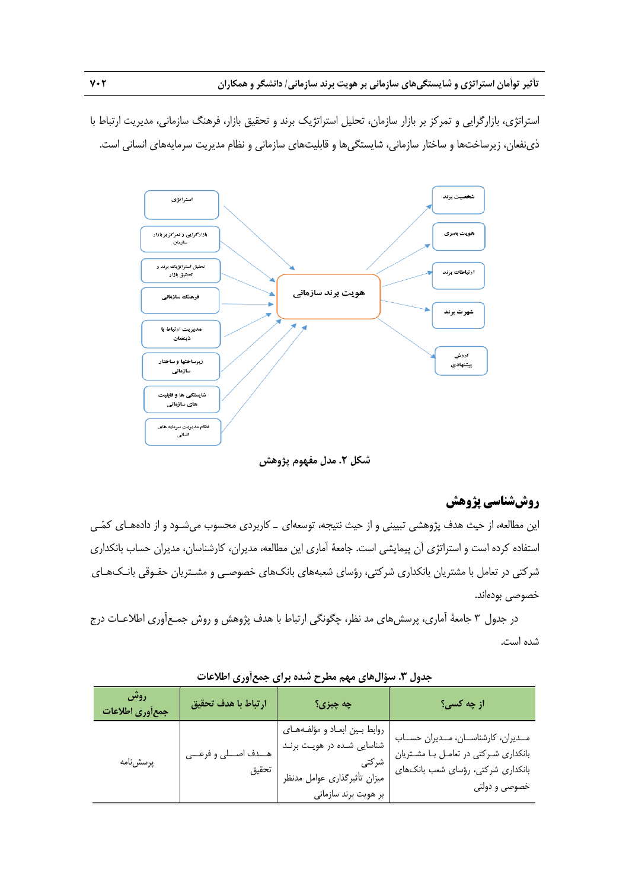استراتژي، بازارگرايي و تمركز بر بازار سازمان، تحليل استراتژيك برند و تحقيق بازار، فرهنگ سازماني، مديريت ارتباط با ذينفعان، زيرساختها و ساختار سازماني، شايستگيها و قابليتهاي سازماني و نظام مديريت سرمايههاي انساني است.



**شكل .2 مدل مفهوم پژوهش** 

# **روششناسي پژوهش**

اين مطالعه، از حيث هدف پژوهشي تبييني و از حيث نتيجه، توسعهاي ـ كاربردي محسوب ميشـود و از دادههـاي كمـي استفاده كرده است و استراتژي آن پيمايشي است. جامعة آماري اين مطالعه، مديران، كارشناسان، مديران حساب بانكداري شركتي در تعامل با مشتريان بانكداري شركتي، رؤساي شعبههاي بانكهاي خصوصـي و مشـتريان حقـوقي بانـكهـاي خصوصي بودهاند.

در جدول 3 جامعة آماري، پرسشهاي مد نظر، چگونگي ارتباط با هدف پژوهش و روش جمـعآوري اطلاعـات درج شده است.

| روش<br>جمعأوري اطلاعات | ارتباط با هدف تحقيق               | چه چیزی؟                                                                                                                | از چه کسی؟                                                                                                                    |
|------------------------|-----------------------------------|-------------------------------------------------------------------------------------------------------------------------|-------------------------------------------------------------------------------------------------------------------------------|
| پرسشiامه               | هــدف اصــلى و فرعـــى<br>ً تحقيق | روابط بين ابعاد و مؤلفههاي<br>شناسایی شده در هویت برند<br>شركتى<br>میزان تأثیرگذاری عوامل مدنظر<br>بر هويت برند سازماني | مدیران، کارشناسان، مدیران حساب<br>بانکداری شرکتی در تعامـل بـا مشـتریان<br>بانکداری شرکتی، رؤسای شعب بانکهای<br>خصوصی و دولتی |

### **جدول .3 سؤالهاي مهم مطرح شده براي جمعآوري اطلاعات**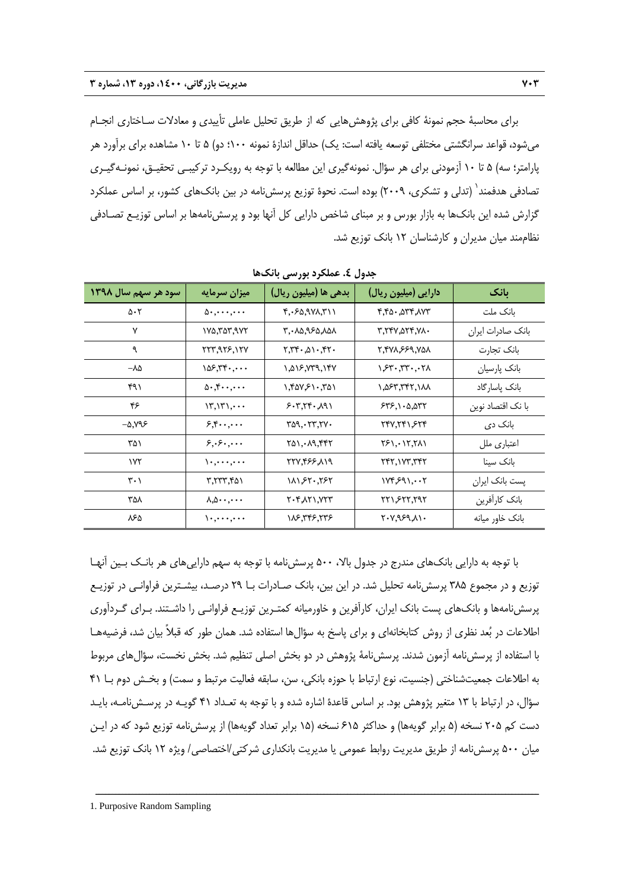براي محاسبة حجم نمونة كافي براي پژوهشهايي كه از طريق تحليل عاملي تأييدي و معادلات سـاختاري انجـام ميشود، قواعد سرانگشتي مختلفي توسعه يافته است: يك) حداقل اندازة نمونه 100؛ دو) 5 تا 10 مشاهده براي برآورد هر پارامتر؛ سه) 5 تا 10 آزمودني براي هر سؤال. نمونهگيري اين مطالعه با توجه به رويكـرد تركيبـي تحقيـق، نمونـهگيـري تصادفي هدفمند` (تدلي و تشكري، ٢٠٠٩) بوده است. نحوة توزيع پرسشiمه در بين بانكـهاي كشور، بر اساس عملكرد گزارش شده اين بانكها به بازار بورس و بر مبناي شاخص دارايي كل آنها بود و پرسشنامهها بر اساس توزيـع تصـادفي نظاممند ميان مديران و كارشناسان 12 بانك توزيع شد.

| سود هر سهم سال ۱۳۹۸         | ميزان سرمايه                                           | بدهي ها (ميليون ريال)                                    | دارایی (میلیون ریال)   | بانک              |
|-----------------------------|--------------------------------------------------------|----------------------------------------------------------|------------------------|-------------------|
| $\Delta \cdot 5$            | $\Delta$                                               | $F, -50, 9V\Lambda, 7V\Lambda$                           | ۳.۴۵۰.۵۳۴.۸۷۳          | بانک ملت          |
| ٧                           | ۲۷۵٬۳۵۳٬۹۷۲                                            | ۸۵۸٬۹۶۵٬۸۵۸ ۲٬۰                                          | ٠٨٧.٥٢٣.٧٨٠            | بانک صادرات ایران |
| ٩                           | 223,935,127                                            | $Y, YY \cdot A \cap Y, YY \cdot$                         | 887.933.879.7          | بانک تجارت        |
| $-\lambda\Delta$            | 105.77                                                 | ۱,۵۱۶,۷۳۹,۱۴۷                                            | $\lambda$ 7 $\Upsilon$ | بانک پارسیان      |
| ۴۹۱                         | 0.5.1                                                  | $\lambda$ , $\gamma$ av, $\gamma$ , $\gamma$ a $\lambda$ | ۱,۵۶۳,۳۴۲,۱۸۸          | بانک پاسارگاد     |
| ۴۶                          | $\{\mathbf{y},\mathbf{y}\},\cdots$                     | 5.7, 77.191                                              | 545,1.0,077            | با نک اقتصاد نوین |
| -5.795                      | 5.5                                                    | ۳۵۹.۰۲۳.۲۷۰                                              | ۲۴۷.۲۴۱.۶۲۴            | بانک دی           |
| ۳۵۱                         | ۰۰۰, ۶۰٫۰۰۰                                            | ۲۵۱٬۰۸۹٬۴۴۲                                              | 151.11.111             | اعتباری ملل       |
| ۱۷۲                         | $\setminus \cdot \cdot \cdot \cdot, \cdot \cdot \cdot$ | ۲۲۷.۴۶۶.۸۱۹                                              | ۲۴۲,۱۷۳,۳۴۲            | بانک سینا         |
| $\mathsf{r}\cdot\mathsf{r}$ | ۳.۲۳۳.۴۵۱                                              | 111,۶۲۰,۲۶۲                                              | ۱۷۴۶۹۱.۰۰۲             | پست بانک ایران    |
| ۳۵۸                         | $\Lambda, \Delta$                                      | ۲۰۴٫۸۲۱٫۷۲۳                                              | ۲۲۱,۶۲۲,۲۹۲            | بانك كارآفرين     |
| ۸۶۵                         |                                                        | 977, 977, 911                                            | ۰٬۷٫۹۶۹٬۸۱۰            | بانک خاور میانه   |

**جدول .4 عملكرد بورسي بانكها** 

با توجه به دارايي بانكهاي مندرج در جدول بالا، 500 پرسشنامه با توجه به سهم داراييهاي هر بانـك بـين آنهـا توزيع و در مجموع 385 پرسشنامه تحليل شد. در اين بين، بانك صـادرات بـا 29 درصـد، بيشـترين فراوانـي در توزيـع پرسشنامهها و بانكهاي پست بانك ايران، كارآفرين و خاورميانه كمتـرين توزيـع فراوانـي را داشـتند. بـراي گـردآوري اطلاعات در بعد نظري از روش كتابخانهاي و براي پاسخ به سؤالها استفاده شد. همان طور كه قبلاً بيان شد، فرضيههـا با استفاده از پرسشنامه آزمون شدند. پرسشنامة پژوهش در دو بخش اصلي تنظيم شد. بخش نخست، سؤالهاي مربوط به اطلاعات جمعيتشناختي (جنسيت، نوع ارتباط با حوزه بانكي، سن، سابقه فعاليت مرتبط و سمت) و بخـش دوم بـا 41 سؤال، در ارتباط با 13 متغير پژوهش بود. بر اساس قاعدة اشاره شده و با توجه به تعـداد 41 گويـه در پرسـشنامـه، بايـد دست كم 205 نسخه (5 برابر گويهها) و حداكثر 615 نسخه (15 برابر تعداد گويهها) از پرسشنامه توزيع شود كه در ايـن ميان 500 پرسشنامه از طريق مديريت روابط عمومي يا مديريت بانكداري شركتي/اختصاصي/ ويژه 12 بانك توزيع شد.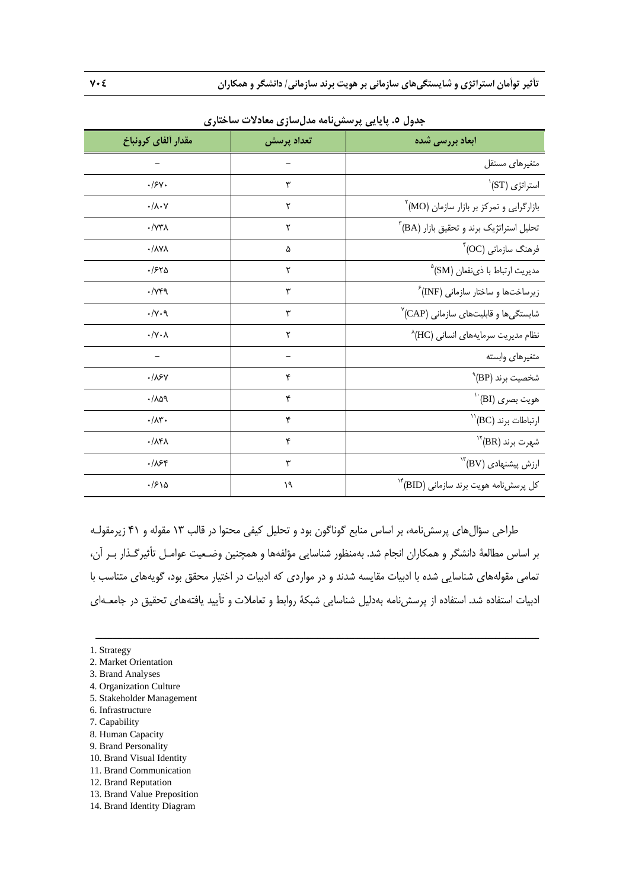| ۔ رت                           |            | - 27                                                   |
|--------------------------------|------------|--------------------------------------------------------|
| مقدار ألفاي كرونباخ            | تعداد پرسش | <b>ابعاد بررسی شده</b>                                 |
|                                |            | متغيرهاي مستقل                                         |
| .15V.                          | ٣          | $\langle \mathrm{ST} \rangle$ استراتژی                 |
| $\cdot/\lambda\cdot\mathsf{Y}$ | ۲          | $\mathrm{^{7}(MO)}$ بازارگرایی و تمرکز بر بازار سازمان |
| $\cdot$ / $\vee\tau\wedge$     | ۲          | $\mathrm{^{v}(BA)}$ تحلیل استراتژیک برند و تحقیق بازار |
| $\cdot/\lambda$ Y $\lambda$    | ۵          | $^\ast$ (OC) فرهنگ سازمانی                             |
| .1540                          | ۲          | مديريت ارتباط با ذي نفعان (SM) <sup>ه</sup>            |
| $\cdot$ / $\gamma$ ۴۹          | ٣          | زیرساختها و ساختار سازمانی (INF) <sup>ء</sup>          |
| $\cdot/\gamma \cdot$ 9         | ٣          | شایستگیها و قابلیتهای سازمانی (CAP)                    |
| $\cdot/\Upsilon \cdot \Lambda$ | ۲          | نظام مدیریت سرمایههای انسانی (HC)                      |
|                                |            | متغيرهاي وابسته                                        |
| $\cdot/\lambda$ ۶۷             | ۴          | $^{\backprime\!}$ (BP) شخصیت برند                      |
| .709                           | ۴          | $\lq\lq$ ''(BI) هويت بصرى                              |
| $\cdot/\lambda$ ۳.             | ۴          | $\mathrm{^{11}(BC)}$ ارتباطات برند                     |
| $\cdot/\lambda$ ۴ $\lambda$    | ۴          | $\mathrm{^{17}(BR)}$ شهرت برند                         |
| .188                           | ٣          | $\mathrm{H}^{\mathrm{ur}}(\mathrm{BV})$ ارزش پیشنهادی  |
| ۱۶۱۵.                          | ۱۹         | کل پرسشنامه هویت برند سازمانی (BID) <sup>۱۴</sup>      |

**جدول .5 پايايي پرسشنامه مدلسازي معادلات ساختاري** 

طراحي سؤالهاي پرسشنامه، بر اساس منابع گوناگون بود و تحليل كيفي محتوا در قالب 13 مقوله و 41 زيرمقولـه بر اساس مطالعة دانشگر و همكاران انجام شد. بهمنظور شناسايي مؤلفهها و همچنين وضـعيت عوامـل تأثيرگـذار بـر آن، تمامي مقولههاي شناسايي شده با ادبيات مقايسه شدند و در مواردي كه ادبيات در اختيار محقق بود، گويههاي متناسب با ادبيات استفاده شد. استفاده از پرسشنامه بهدليل شناسايي شبكة روابط و تعاملات و تأييد يافتههاي تحقيق در جامعـهاي

- 2. Market Orientation
- 3. Brand Analyses
- 4. Organization Culture
- 5. Stakeholder Management
- 6. Infrastructure
- 7. Capability
- 8. Human Capacity
- 9. Brand Personality
- 10. Brand Visual Identity
- 11. Brand Communication
- 12. Brand Reputation
- 13. Brand Value Preposition 14. Brand Identity Diagram

<sup>1.</sup> Strategy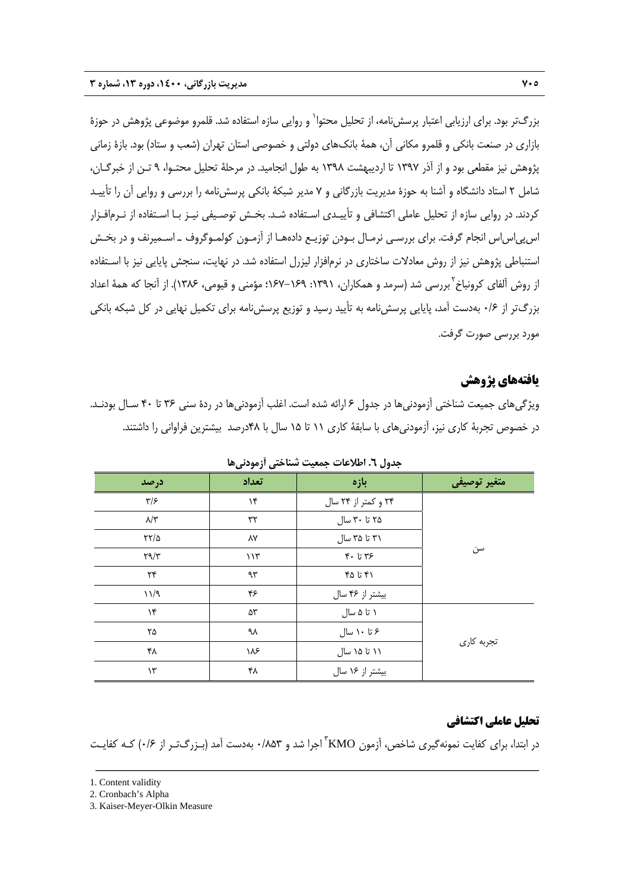بزرگتر بود. براي ارزيابي اعتبار پرسش نامه، از تحليل محتوا` و روايي سازه استفاده شد. قلمرو موضوعي پژوهش در حوزهٔ بازاري در صنعت بانكي و قلمرو مكاني آن، همة بانكهاي دولتي و خصوصي استان تهران (شعب و ستاد) بود. بازة زماني پژوهش نيز مقطعي بود و از آذر 1397 تا ارديبهشت 1398 به طول انجاميد. در مرحلة تحليل محتـوا، 9 تـن از خبرگـان، شامل 2 استاد دانشگاه و آشنا به حوزة مديريت بازرگاني و 7 مدير شبكة بانكي پرسشنامه را بررسي و روايي آن را تأييـد كردند. در روايي سازه از تحليل عاملي اكتشافي و تأييـدي اسـتفاده شـد. بخـش توصـيفي نيـز بـا اسـتفاده از نـرمافـزار اسپياساس انجام گرفت. براي بررسـي نرمـال بـودن توزيـع دادههـا از آزمـون كولمـوگروف ـ اسـميرنف و در بخـش استنباطي پژوهش نيز از روش معادلات ساختاري در نرمافزار ليزرل استفاده شد. در نهايت، سنجش پايايي نيز با اسـتفاده از روش آلفاي كرونباخ<sup>؟</sup> بررسي شد (سرمد و همكاران، ١٣٩١: ١٤٩هـ-١٤٧٢؛ مؤمني و قيومي، ١٣٨۶). از آنجا كه همهٔ اعداد بزرگتر از 0/6 بهدست آمد، پايايي پرسشنامه به تأييد رسيد و توزيع پرسشنامه براي تكميل نهايي در كل شبكه بانكي مورد بررسي صورت گرفت.

### **يافتههاي پژوهش**

ويژگيهاي جميعت شناختي آزمودنيها در جدول 6 ارائه شده است. اغلب آزمودنيها در ردة سني 36 تا 40 سـال بودنـد. در خصوص تجربة كاري نيز، آزمودنيهاي با سابقة كاري 11 تا 15 سال با 48درصد بيشترين فراواني را داشتند.

| درصد                         | تعداد | بازه                | متغير توصيفي |
|------------------------------|-------|---------------------|--------------|
| $\mathbf{y}/\mathbf{y}$      | ۱۴    | ۲۴ و کمتر از ۲۴ سال |              |
| $\lambda/\tilde{r}$          | ٣٢    | ۲۵ تا ۳۰ سال        |              |
| $\frac{5}{10}$               | ٨٧    | ۳۱ تا ۳۵ سال        |              |
| $\Upsilon \gamma / \Upsilon$ | 117   | $Y - UY$ ۶          | سن           |
| $\mathsf{Y}\mathsf{Y}$       | ٩٣    | ۴۵ تا ۴۵            |              |
| 11/9                         | ۴۶    | بیشتر از ۴۶ سال     |              |
| $\mathcal{N}$                | ۵۳    | ۱ تا ۵ سال          |              |
| ۲۵                           | ٩λ    | ۶ تا ۱۰ سال         |              |
| ۴۸                           | ۱۸۶   | ۱۱ تا ۱۵ سال        | تجربه كارى   |
| $\mathcal{N}$                | ۴۸    | بیشتر از ۱۶ سال     |              |

**جدول .6 اطلاعات جمعيت شناختي آزمودنيها** 

### **تحليل عاملي اكتشافي**

در ابتدا، برای کفایت نمونهگیری شاخص، آزمون KMO<sup>"</sup> اجرا شد و ۸۵۳'۰ بهدست آمد (بـزرگ<code>تـر</code> از ۰/۶) کـه کفایـت

<sup>1.</sup> Content validity

<sup>2.</sup> Cronbach's Alpha

<sup>3.</sup> Kaiser-Meyer-Olkin Measure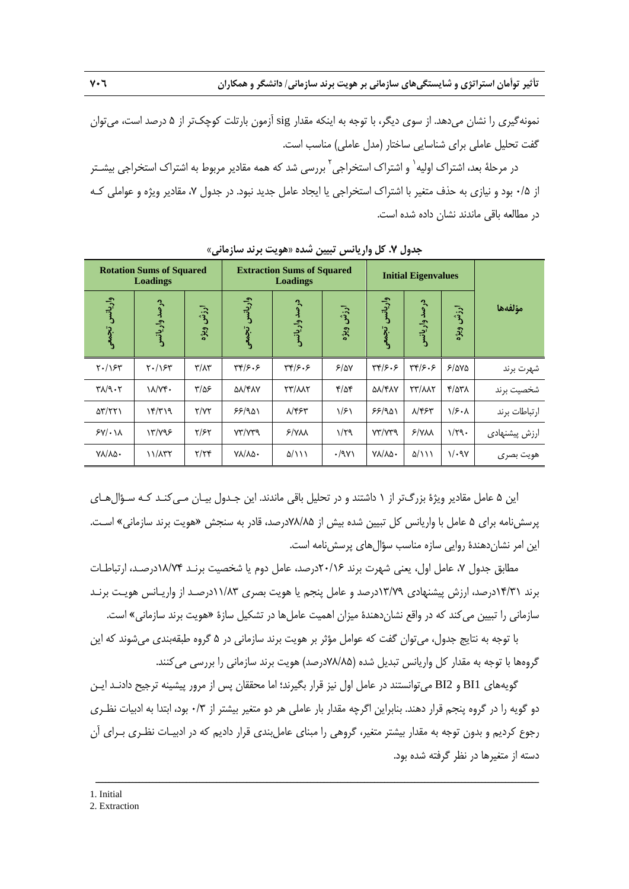**تأثير توأمان استراتژي و شايستگيهاي سازماني بر هويت برند سازماني/ دانشگر و همكاران 706** 

نمونهگيري را نشان ميدهد. از سوي ديگر، با توجه به اينكه مقدار sig آزمون بارتلت كوچكتر از 5 درصد است، ميتوان گفت تحليل عاملي براي شناسايي ساختار (مدل عاملي) مناسب است.

در مرحلهٔ بعد، اشتراک اولیه` و اشتراک استخراجی<sup>۲</sup> بررسی شد که همه مقادیر مربوط به اشتراک استخراجی بیشـتر از 0/5 بود و نيازي به حذف متغير با اشتراك استخراجي يا ايجاد عامل جديد نبود. در جدول ،7 مقادير ويژه و عواملي كـه در مطالعه باقي ماندند نشان داده شده است.

|                                                 | <b>Rotation Sums of Squared</b><br>Loadings |                         | <b>Extraction Sums of Squared</b><br><b>Loadings</b> |                         |                     |                          | <b>Initial Eigenvalues</b>           |              |               |
|-------------------------------------------------|---------------------------------------------|-------------------------|------------------------------------------------------|-------------------------|---------------------|--------------------------|--------------------------------------|--------------|---------------|
| واريانس تجمعي                                   | درصد واريانس                                | ارزش ویژه               | واريانس تجمعي                                        | درصد واريانس            | ارزش ویژه           | واريانس<br>تجمعي         | درصد واريانس                         | ارزش ويژه    | مؤلفهها       |
| $Y - \Lambda Y$                                 | $Y - \sqrt{5}Y$                             | $\mathbf{r}/\mathbf{r}$ | 449.5                                                | 499.5                   | 5/2V                | 499.5                    | $\mathbf{y}(\mathbf{y}, \mathbf{y})$ | 5/0.00       | شهرت برند     |
| $\mathbf{Y} \wedge \mathbf{Y} \cdot \mathbf{Y}$ | $\lambda/\gamma$ ۴.                         | $\frac{8}{2}$           | ۵λ/۴λΥ                                               | <b>TY/AAT</b>           | $\frac{9}{2}$       | <b>QA/FAY</b>            | <b>TY/WY</b>                         | $Y/\Delta Y$ | شخصيت برند    |
| $\Delta \Upsilon / \Upsilon \Upsilon$           | $\mathcal{N}(\mathcal{K})$                  | Y/YY                    | 55/901                                               | $\lambda$ /۴۶۳          | $\frac{1}{2}$       | 55/901                   | $\lambda$ /۴۶۳                       | $\sqrt{5.1}$ | ارتباطات برند |
| $5V/\cdot$ $\lambda$                            | Y/YQF                                       | $Y/\mathcal{F}Y$        | YY/YYQ                                               | 5/N <sub>AA</sub>       | $1/\tau q$          | YY/YYQ                   | $Y/Y\Lambda\Lambda$                  | $1/\tau q$ . | ارزش پیشنهادی |
| $V$ $\lambda/\lambda\Delta$                     | 11/177                                      | Y/YY                    | $V$ $\lambda/\lambda\Delta$                          | $\Delta/\lambda\lambda$ | $\cdot$ /9 $\gamma$ | $V\Lambda/\Lambda\Delta$ | $\Delta/\lambda\lambda$              | 1/29Y        | هويت بصرى     |

**جدول .7 كل واريانس تبيين شده «هويت برند سازماني»** 

اين 5 عامل مقادير ويژة بزرگتر از 1 داشتند و در تحليل باقي ماندند. اين جـدول بيـان مـيكنـد كـه سـؤالهـاي پرسشنامه براي 5 عامل با واريانس كل تبيين شده بيش از 78/85درصد، قادر به سنجش «هويت برند سازماني» اسـت. اين امر نشاندهندة روايي سازه مناسب سؤالهاي پرسشنامه است.

مطابق جدول ،7 عامل اول، يعني شهرت برند 20/16درصد، عامل دوم يا شخصيت برنـد 18/74درصـد، ارتباطـات برند 14/31درصد، ارزش پيشنهادي 13/79درصد و عامل پنجم يا هويت بصري 11/83درصـد از واريـانس هويـت برنـد سازماني را تبيين ميكند كه در واقع نشاندهندة ميزان اهميت عاملها در تشكيل سازة «هويت برند سازماني» است.

با توجه به نتايج جدول، ميتوان گفت كه عوامل مؤثر بر هويت برند سازماني در 5 گروه طبقهبندي ميشوند كه اين گروهها با توجه به مقدار كل واريانس تبديل شده (78/85درصد) هويت برند سازماني را بررسي ميكنند.

گويههاي 1BI و 2BI ميتوانستند در عامل اول نيز قرار بگيرند؛ اما محققان پس از مرور پيشينه ترجيح دادنـد ايـن دو گويه را در گروه پنجم قرار دهند. بنابراين اگرچه مقدار بار عاملي هر دو متغير بيشتر از 0/3 بود، ابتدا به ادبيات نظـري رجوع كرديم و بدون توجه به مقدار بيشتر متغير، گروهي را مبناي عاملبندي قرار داديم كه در ادبيـات نظـري بـراي آن دسته از متغيرها در نظر گرفته شده بود.

<sup>1.</sup> Initial

<sup>2.</sup> Extraction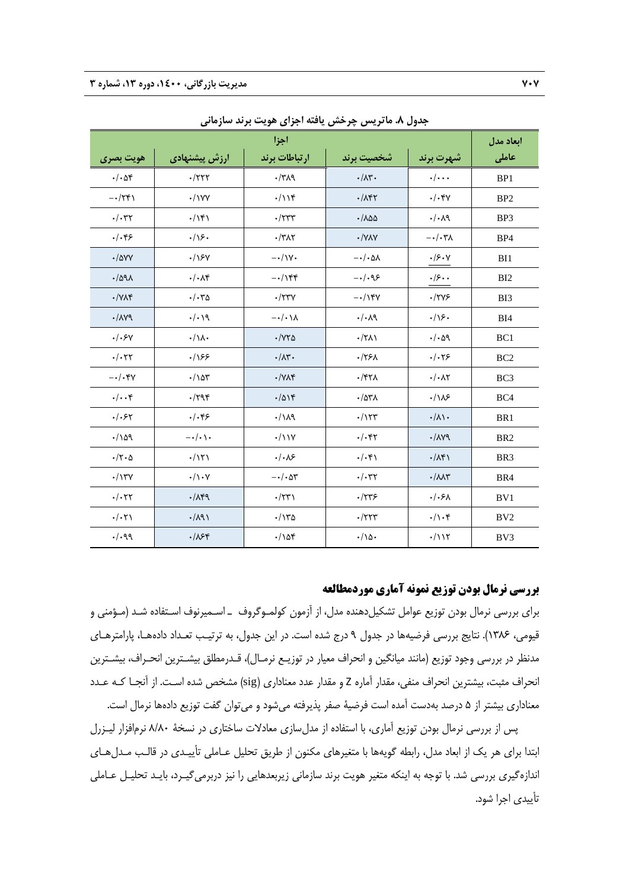| ر ت<br>◢<br>. ر پ<br>. U<br>$3.5$ M $.3$<br>اجزا |                                |                           |                                    |                                |                 |  |  |  |
|--------------------------------------------------|--------------------------------|---------------------------|------------------------------------|--------------------------------|-----------------|--|--|--|
| هويت بصري                                        | ارزش پیشنهادی                  | ارتباطات برند             | شخصيت برند                         | شهرت برند                      | عاملی           |  |  |  |
| $\cdot/\cdot\Delta f$                            | $\cdot$ /٢٢٢                   | $\cdot$ /٣ $\Lambda$ ٩    | $\cdot/\Lambda$ ۳.                 | $\cdot/\cdot\cdot$             | BP1             |  |  |  |
| $-\cdot/\tau$ ۴۱                                 | $\cdot$ /\YY                   | $\cdot/\iota$             | $\cdot/\Lambda$ ۴۲                 | $\cdot/\cdot$ ۴۷               | BP <sub>2</sub> |  |  |  |
| $\cdot/\cdot \tau$                               | $\cdot/\lambda_{\mathfrak{h}}$ | $\cdot$ /٢٣٣              | $\cdot / \lambda \Delta \Delta$    | $\cdot/\cdot \wedge$ ٩         | BP3             |  |  |  |
| . / . 85                                         | .79.                           | $\cdot$ /٣ $\wedge$ ٢     | $\cdot$ /YAY                       | $-\cdot/\cdot\tau$             | BP4             |  |  |  |
| $\cdot$ /۵۷۷                                     | .199                           | $-\cdot/\gamma \cdot$     | $-\cdot/\cdot\Delta\Lambda$        | $\cdot$ /۶۰۷                   | BI1             |  |  |  |
| .1091                                            | $\cdot/\cdot\wedge\uparrow$    | $-\cdot/\gamma$ ۴۴        | $-\cdot/\cdot$ 98                  | $\cdot/\mathfrak{s}\cdot\cdot$ | BI <sub>2</sub> |  |  |  |
| $\cdot/\forall\lambda\Upsilon$                   | $\cdot/\cdot\mathsf{r}\Delta$  | $\boldsymbol{\cdot}$ /۲۳۷ | $-\cdot/\gamma$                    | $\cdot$ /۲۷۶                   | BI3             |  |  |  |
| $\cdot/\lambda\gamma$                            | .4.1                           | $-\cdot/\cdot\lambda$     | $\cdot/\cdot \wedge$ ٩             | $\cdot/\sqrt{2}$ .             | BI4             |  |  |  |
| . / . 5V                                         | $\cdot/\lambda$                | $\cdot$ /<br>$\sqrt{10}$  | $\cdot/\uparrow\downarrow\uparrow$ | .4.4                           | BC1             |  |  |  |
| $\cdot/\cdot$ ۲۲                                 | .188                           | $\cdot/\Lambda$ ۳.        | $\cdot$ /٢۶Λ                       | $\cdot/\cdot$ ٢۶               | BC <sub>2</sub> |  |  |  |
| $-\cdot/\cdot$ ۴۷                                | $\cdot/\lambda$                | $\cdot/\gamma\Lambda f$   | $\cdot$ /۴۲۸                       | $\cdot/\cdot \wedge \curlyvee$ | BC <sub>3</sub> |  |  |  |
| $\cdot/\cdot\cdot$ ۴                             | $\cdot$ / $\gamma$ ۹۴          | .7014                     | $\cdot$ /۵۳۸                       | $\cdot/\lambda$ ۶              | BC4             |  |  |  |
| . / . 57                                         | $.$ / $.$ ۴۶                   | .11                       | $\cdot/\gamma\gamma\gamma$         | $\cdot/\lambda$                | BR1             |  |  |  |
| .1109                                            | $-\cdot/\cdot \cdot$           | $\cdot$ /11Y              | $\cdot/\cdot$ ۴۲                   | $\cdot/\lambda\gamma$          | BR <sub>2</sub> |  |  |  |
| $\cdot/\tau \cdot \Delta$                        | .711                           | $\cdot/\cdot\Lambda$ ۶    | $\cdot/\cdot$ ۴۱                   | $\cdot/\Lambda f$              | BR <sub>3</sub> |  |  |  |
| $\cdot/\gamma\gamma\gamma$                       | $\cdot/\wedge\cdot\vee$        | $-\cdot/\cdot\Delta r$    | $\cdot/\cdot$ ۳۲                   | $\cdot/\lambda\lambda\tau$     | BR4             |  |  |  |
| $\cdot/\cdot$ ٢٢                                 | .714                           | $\cdot$ /٢٣)              | $\cdot$ /٢٣۶                       | $.$ / $.$ ۶۸                   | BV1             |  |  |  |
| $\cdot/\cdot\tau$                                | $\cdot/\lambda$ 9)             | $\cdot/\gamma\delta$      | $\cdot$ /٢٢٣                       | $\cdot/\cdot$ ۴                | BV <sub>2</sub> |  |  |  |
| .44                                              | .188                           | $\cdot/\lambda$           | $\cdot/\lambda$ .                  | $\cdot/\iota\iota\tau$         | BV3             |  |  |  |

**جدول .8 ماتريس چرخش يافته اجزاي هويت برند سازماني**

### **بررسي نرمال بودن توزيع نمونه آماري موردمطالعه**

براي بررسي نرمال بودن توزيع عوامل تشكيلدهنده مدل، از آزمون كولمـوگروف ـ اسـميرنوف اسـتفاده شـد (مـؤمني و قيومي، 1386). نتايج بررسي فرضيهها در جدول 9 درج شده است. در اين جدول، به ترتيـب تعـداد دادههـا، پارامترهـاي مدنظر در بررسي وجود توزيع (مانند ميانگين و انحراف معيار در توزيـع نرمـال)، قـدرمطلق بيشـترين انحـراف، بيشـترين انحراف مثبت، بيشترين انحراف منفي، مقدار آماره Z و مقدار عدد معناداري (sig (مشخص شده اسـت. از آنجـا كـه عـدد معناداري بيشتر از 5 درصد بهدست آمده است فرضية صفر پذيرفته ميشود و ميتوان گفت توزيع دادهها نرمال است.

پس از بررسي نرمال بودن توزيع آماري، با استفاده از مدلسازي معادلات ساختاري در نسخة 8/80 نرمافزار ليـزرل ابتدا براي هر يك از ابعاد مدل، رابطه گويهها با متغيرهاي مكنون از طريق تحليل عـاملي تأييـدي در قالـب مـدلهـاي اندازهگيري بررسي شد. با توجه به اينكه متغير هويت برند سازماني زيربعدهايي را نيز دربرميگيـرد، بايـد تحليـل عـاملي تأييدي اجرا شود.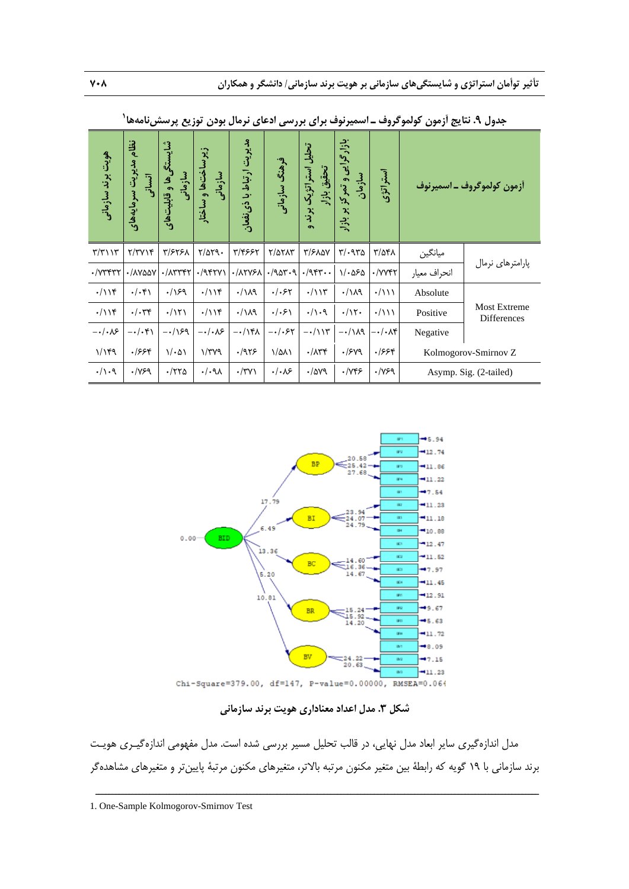| هويت برند سازماني                              | نظام<br>مدیریت سرمایههای<br>انسانی | شایستگیها و قابلیتهای<br>سازمانى | زيرساختھا و ساختار<br>سازمانی | مدیریت ارتباط با ذی نفعان | فرهنگ سازمانی     | تحلیل استراتژیک برند<br>تحقيق بازار<br>$\bullet$ | بازار گرایی و تمرکز بر بازار<br>سازمان | استراتژی                  |              | أزمون كولموگروف ـ اسميرنوف                |
|------------------------------------------------|------------------------------------|----------------------------------|-------------------------------|---------------------------|-------------------|--------------------------------------------------|----------------------------------------|---------------------------|--------------|-------------------------------------------|
| $\mathbf{r}/\mathbf{r}$                        | Y/YYY                              | ٣/۶٢۶٨                           | $\frac{8}{1000}$              | ۳/۴۶۶۲                    | ٢/٥٢٨٣            | ٣/۶٨۵٧                                           | $\mathbf{r}/\cdot \mathbf{r}$          | ۳/۵۴۸                     | ميانگين      | یارامترهای نرمال                          |
| $\cdot$ / $\vee$ $\forall$ $\forall$ $\forall$ | ./AYQQY                            | ۰/۸۳۳۴۲                          | $.$ /947 $V$                  | ·/ATYSA                   | .7984.9           | $\cdot$ /943                                     | $1/\cdot\Delta\mathcal{F}\Delta$       | $\cdot$ / $V$ $V$ $V$ $V$ | انحراف معيار |                                           |
| $\cdot/\iota$                                  | $. / .$ ۴۱                         | .199                             | $\cdot/\rightarrow$           | .114                      | $./-$ ۶۲          | $\cdot/\iota$                                    | $\cdot/\lambda$ ۹                      | $\cdot/\lambda\lambda$    | Absolute     |                                           |
| $\cdot/\iota$                                  | $\cdot/\cdot$ ۳۴                   | $\cdot/\Upsilon$                 | $\cdot/\iota$                 | .114                      | .  .5             | $\cdot/\cdot$ ۹                                  | $\cdot/\gamma$                         | $\cdot/\mathcal{U}$       | Positive     | <b>Most Extreme</b><br><b>Differences</b> |
| $-\cdot/\cdot\sqrt{2}$                         | $-\cdot/\cdot$ ۴۱                  | $-\cdot/\sqrt{2}$                | $-\cdot/\cdot\sqrt{2}$        | $-\cdot/\right.$          | $-\cdot/\cdot$ ۶۲ | $-\cdot/\iota$                                   | $-\cdot/\lambda$ ۹                     | $-\cdot/\cdot\lambda$ ۴   | Negative     |                                           |
| 1/189                                          | ۶۶۴.                               | 1/201                            | $\gamma/\tau\gamma$           | .1959                     | $1/\Delta\Lambda$ | $\cdot/\lambda$ ۳۴                               | $\cdot$ /۶۷۹                           | ۶۶۴.                      |              | Kolmogorov-Smirnov Z                      |
| $. / \backslash . Q$                           | .1199                              | $\cdot$ /۲۲۵                     | $./-9\lambda$                 | $\cdot$ /۳۷)              | $. / . \lambda$ ۶ | $\cdot$ /ava                                     | $\cdot$ / $\gamma$ ۴۶                  | $\cdot$ /YSq              |              | Asymp. Sig. (2-tailed)                    |

 **<sup>1</sup> جدول .9 نتايج آزمون كولموگروف ـ اسميرنوف براي بررسي ادعاي نرمال بودن توزيع پرسشنامهها**



**شكل .3 مدل اعداد معناداري هويت برند سازماني** 

مدل اندازهگيري ساير ابعاد مدل نهايي، در قالب تحليل مسير بررسي شده است. مدل مفهومي اندازهگيـري هويـت برند سازماني با 19 گويه كه رابطة بين متغير مكنون مرتبه بالاتر، متغيرهاي مكنون مرتبة پايينتر و متغيرهاي مشاهدهگر

ــــــــــــــــــــــــــــــــــــــــــــــــــــــــــــــــــــــــــــــــــــــــــــــــــــــــــــــــــــــــــــــــــــ

1. One-Sample Kolmogorov-Smirnov Test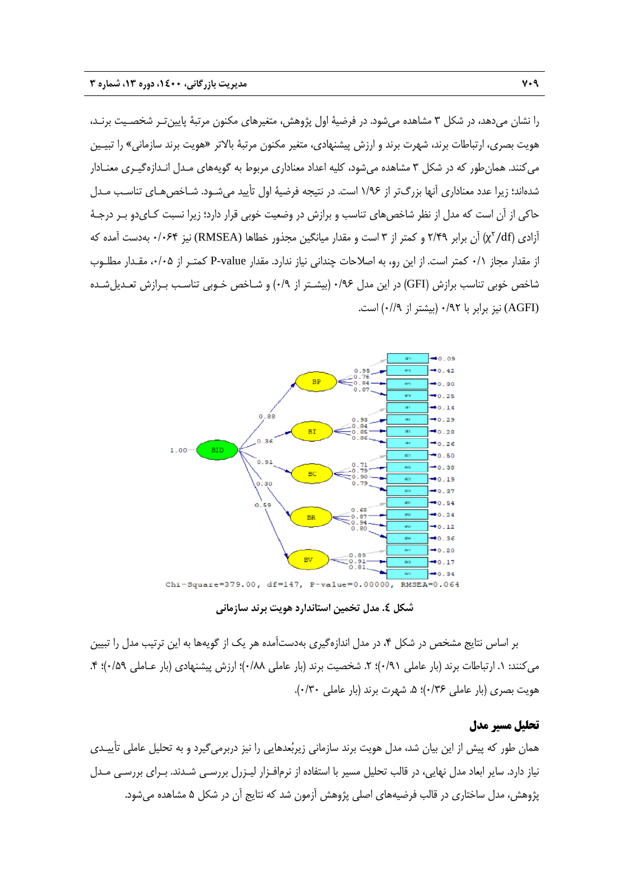را نشان ميدهد، در شكل 3 مشاهده ميشود. در فرضية اول پژوهش، متغيرهاي مكنون مرتبة پايينتـر شخصـيت برنـد، هويت بصري، ارتباطات برند، شهرت برند و ارزش پيشنهادي، متغير مكنون مرتبة بالاتر «هويت برند سازماني» را تبيـين ميكنند. همانطور كه در شكل 3 مشاهده ميشود، كليه اعداد معناداري مربوط به گويههاي مـدل انـدازهگيـري معنـادار شدهاند؛ زيرا عدد معناداري آنها بزرگتر از 1/96 است. در نتيجه فرضية اول تأييد ميشـود. شـاخصهـاي تناسـب مـدل حاكي از آن است كه مدل از نظر شاخصهاي تناسب و برازش در وضعيت خوبي قرار دارد؛ زيرا نسبت كـايدو بـر درجـة df/ ( آن برابر 2/49 و كمتر از 3 است و مقدار ميانگين مجذور خطاها (RMSEA (نيز 0/064 بهدست آمده كه <sup>2</sup> آزادي ( χ از مقدار مجاز 0/1 كمتر است. از اين رو، به اصلاحات چنداني نياز ندارد. مقدار value-P كمتـر از ،0/05 مقـدار مطلـوب شاخص خوبي تناسب برازش (GFI (در اين مدل 0/96 (بيشـتر از 0/9) و شـاخص خـوبي تناسـب بـرازش تعـديلشـده (AGFI (نيز برابر با 0/92 (بيشتر از 0//9) است.



**شكل .4 مدل تخمين استاندارد هويت برند سازماني** 

بر اساس نتايج مشخص در شكل ،4 در مدل اندازهگيري بهدستآمده هر يك از گويهها به اين ترتيب مدل را تبيين مي كنند: ١. ارتباطات برند (بار عاملي ٩١/٠)؛ ٢. شخصيت برند (بار عاملي ٠/٨٨)؛ ارزش پيشنهادي (بار عـاملي ٠/٥٩)؛ ۴. هويت بصري (بار عاملي ١٣۶)؛ ۵. شهرت برند (بار عاملي ١٣٠٠).

### **تحليل مسير مدل**

همان طور كه پيش از اين بيان شد، مدل هويت برند سازماني زيربعدهايي را نيز دربرميگيرد و به تحليل عاملي تأييـدي نياز دارد. ساير ابعاد مدل نهايي، در قالب تحليل مسير با استفاده از نرمافـزار ليـزرل بررسـي شـدند. بـراي بررسـي مـدل پژوهش، مدل ساختاري در قالب فرضيههاي اصلي پژوهش آزمون شد كه نتايج آن در شكل 5 مشاهده ميشود.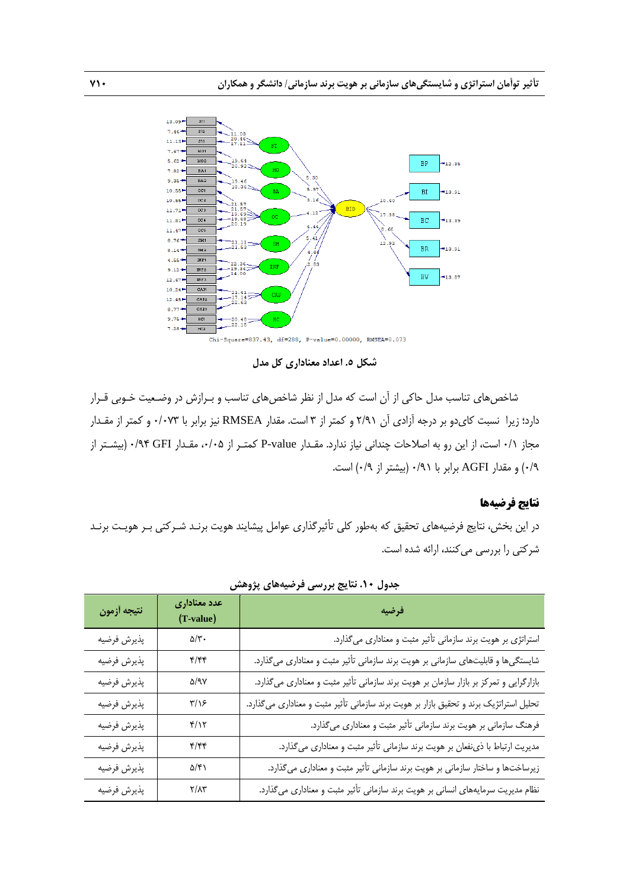

**شكل .5 اعداد معناداري كل مدل**

شاخصهاي تناسب مدل حاكي از آن است كه مدل از نظر شاخصهاي تناسب و بـرازش در وضـعيت خـوبي قـرار دارد؛ زيرا نسبت كايدو بر درجه آزادي آن 2/91 و كمتر از 3 است. مقدار RMSEA نيز برابر با 0/073 و كمتر از مقـدار مجاز 0/1 است، از اين رو به اصلاحات چنداني نياز ندارد. مقـدار value-P كمتـر از ،0/05 مقـدار GFI 0/94) بيشـتر از 0/9) و مقدار AGFI برابر با 0/91 (بيشتر از 0/9) است.

### **نتايج فرضيهها**

در اين بخش، نتايج فرضيههاي تحقيق كه بهطور كلي تأثيرگذاري عوامل پيشايند هويت برنـد شـركتي بـر هويـت برنـد شركتي را بررسي ميكنند، ارائه شده است.

| نتيجه أزمون | عدد معناداری<br>(T-value)  | فرضيه                                                                                  |
|-------------|----------------------------|----------------------------------------------------------------------------------------|
| پذيرش فرضيه | $\Delta/\Upsilon$ .        | استراتژی بر هویت برند سازمانی تأثیر مثبت و معناداری میگذارد.                           |
| پذيرش فرضيه | f/ff                       | شایستگیها و قابلیتهای سازمانی بر هویت برند سازمانی تأثیر مثبت و معناداری میگذارد.      |
| پذيرش فرضيه | $\Delta$ /9 $\gamma$       | بازارگرایی و تمرکز بر بازار سازمان بر هویت برند سازمانی تأثیر مثبت و معناداری میگذارد. |
| پذيرش فرضيه | $\frac{1}{2}$              | تحلیل استراتژیک برند و تحقیق بازار بر هویت برند سازمانی تأثیر مثبت و معناداری میگذارد. |
| پذيرش فرضيه | $f/\gamma$                 | فرهنگ سازمانی بر هویت برند سازمانی تأثیر مثبت و معناداری میگذارد.                      |
| پذيرش فرضيه | f/ff                       | مدیریت ارتباط با ذی نفعان بر هویت برند سازمانی تأثیر مثبت و معناداری میگذارد.          |
| پذيرش فرضيه | $\Delta/\mathfrak{f}$ )    | زیرساختها و ساختار سازمانی بر هویت برند سازمانی تأثیر مثبت و معناداری میگذارد.         |
| پذيرش فرضيه | $\Upsilon/\Lambda\Upsilon$ | نظام مدیریت سرمایههای انسانی بر هویت برند سازمانی تأثیر مثبت و معناداری میگذارد.       |

**جدول .10 نتايج بررسي فرضيههاي پژوهش**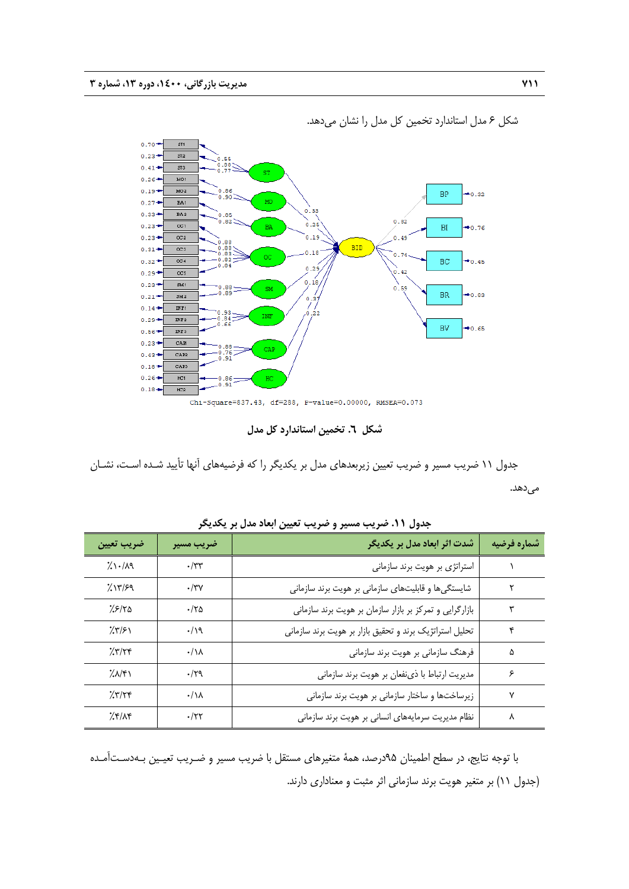

شكل 6 مدل استاندارد تخمين كل مدل را نشان ميدهد.

Chi-Square=837.43, df=288, P-value=0.00000, RMSEA=0.073

**شكل .6 تخمين استاندارد كل مدل** 

جدول 11 ضريب مسير و ضريب تعيين زيربعدهاي مدل بر يكديگر را كه فرضيههاي آنها تأييد شـده اسـت، نشـان مىدهد.

| ضريب تعيين          | ضريب مسير           | شدت اثر ابعاد مدل بر یکدیگر                             | شماره فرضيه |
|---------------------|---------------------|---------------------------------------------------------|-------------|
| $\frac{1}{2}$ 1.119 | $\cdot$ /٣٣         | استراتژی بر هویت برند سازمانی                           |             |
| 7.17/59             | $\cdot$ /۳ $\gamma$ | شایستگیها و قابلیتهای سازمانی بر هویت برند سازمانی      | ٢           |
| 7.5/70              | .180                | بازارگرایی و تمرکز بر بازار سازمان بر هویت برند سازمانی | ٣           |
| 7.8151              | .19                 | تحلیل استراتژیک برند و تحقیق بازار بر هویت برند سازمانی | ۴           |
| 7.777               | $\cdot/\lambda$     | فرهنگ سازمانی بر هویت برند سازمانی                      | ۵           |
| 7.1                 | .179                | مدیریت ارتباط با ذی نفعان بر هویت برند سازمانی          | ۶           |
| 757/78              | $\cdot/\lambda$     | زیرساختها و ساختار سازمانی بر هویت برند سازمانی         | ٧           |
| Xf/Xf               | $\cdot$ /۲۲         | نظام مدیریت سرمایههای انسانی بر هویت برند سازمانی       | ٨           |

**جدول .11 ضريب مسير و ضريب تعيين ابعاد مدل بر يكديگر** 

با توجه نتايج، در سطح اطمينان 95درصد، همة متغيرهاي مستقل با ضريب مسير و ضـريب تعيـين بـهدسـتآمـده (جدول 11) بر متغير هويت برند سازماني اثر مثبت و معناداري دارند.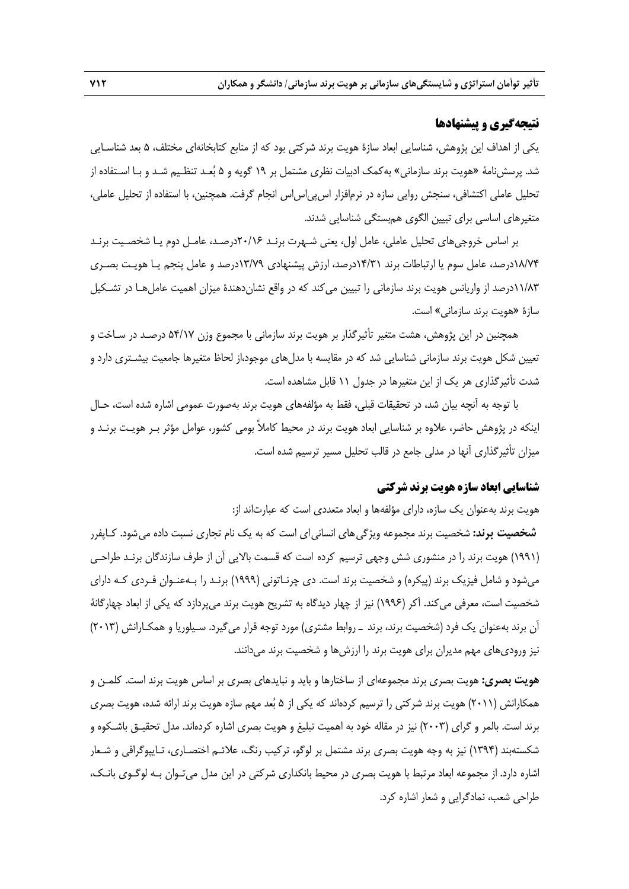### **نتيجهگيري و پيشنهادها**

يكي از اهداف اين پژوهش، شناسايي ابعاد سازة هويت برند شركتي بود كه از منابع كتابخانهاي مختلف، 5 بعد شناسـايي شد. پرسشنامة «هويت برند سازماني» بهكمك ادبيات نظري مشتمل بر 19 گويه و 5 بعـد تنظـيم شـد و بـا اسـتفاده از تحليل عاملي اكتشافي، سنجش روايي سازه در نرمافزار اسپياساس انجام گرفت. همچنين، با استفاده از تحليل عاملي، متغيرهاي اساسي براي تبيين الگوي همبستگي شناسايي شدند.

بر اساس خروجيهاي تحليل عاملي، عامل اول، يعني شـهرت برنـد 20/16درصـد، عامـل دوم يـا شخصـيت برنـد 18/74درصد، عامل سوم يا ارتباطات برند 14/31درصد، ارزش پيشنهادي 13/79درصد و عامل پنجم يـا هويـت بصـري 11/83درصد از واريانس هويت برند سازماني را تبيين ميكند كه در واقع نشاندهندة ميزان اهميت عاملهـا در تشـكيل سازة «هويت برند سازماني» است.

همچنين در اين پژوهش، هشت متغير تأثيرگذار بر هويت برند سازماني با مجموع وزن 54/17 درصـد در سـاخت و تعيين شكل هويت برند سازماني شناسايي شد كه در مقايسه با مدلهاي موجود،از لحاظ متغيرها جامعيت بيشـتري دارد و شدت تأثيرگذاري هر يك از اين متغيرها در جدول 11 قابل مشاهده است.

با توجه به آنچه بيان شد، در تحقيقات قبلي، فقط به مؤلفههاي هويت برند بهصورت عمومي اشاره شده است، حـال اينكه در پژوهش حاضر، علاوه بر شناسايي ابعاد هويت برند در محيط كاملاً بومي كشور، عوامل مؤثر بـر هويـت برنـد و ميزان تأثيرگذاري آنها در مدلي جامع در قالب تحليل مسير ترسيم شده است.

# **شناسايي ابعاد سازه هويت برند شركتي**

هويت برند بهعنوان يك سازه، داراي مؤلفهها و ابعاد متعددي است كه عبارتاند از:

**شخصيت برند:** شخصيت برند مجموعه ويژگيهاي انسانياي است كه به يك نام تجاري نسبت داده ميشود. كـاپفرر (1991) هويت برند را در منشوري شش وجهي ترسيم كرده است كه قسمت بالايي آن از طرف سازندگان برنـد طراحـي ميشود و شامل فيزيك برند (پيكره) و شخصيت برند است. دي چرنـاتوني (1999) برنـد را بـهعنـوان فـردي كـه داراي شخصيت است، معرفي ميكند. آكر (1996) نيز از چهار ديدگاه به تشريح هويت برند ميپردازد كه يكي از ابعاد چهارگانة آن برند بهعنوان يك فرد (شخصيت برند، برند ـ روابط مشتري) مورد توجه قرار ميگيرد. سـيلوريا و همكـارانش (2013) نيز وروديهاي مهم مديران براي هويت برند را ارزشها و شخصيت برند ميدانند.

**هويت بصري:** هويت بصري برند مجموعهاي از ساختارها و بايد و نبايدهاي بصري بر اساس هويت برند است. كلمـن و همكارانش (2011) هويت برند شركتي را ترسيم كردهاند كه يكي از 5 بعد مهم سازه هويت برند ارائه شده، هويت بصري برند است. بالمر و گراي (2003) نيز در مقاله خود به اهميت تبليغ و هويت بصري اشاره كردهاند. مدل تحقيـق باشـكوه و شكستهبند (1394) نيز به وجه هويت بصري برند مشتمل بر لوگو، تركيب رنگ، علائـم اختصـاري، تـايپوگرافي و شـعار اشاره دارد. از مجموعه ابعاد مرتبط با هويت بصري در محيط بانكداري شركتي در اين مدل ميتـوان بـه لوگـوي بانـك، طراحي شعب، نمادگرايي و شعار اشاره كرد.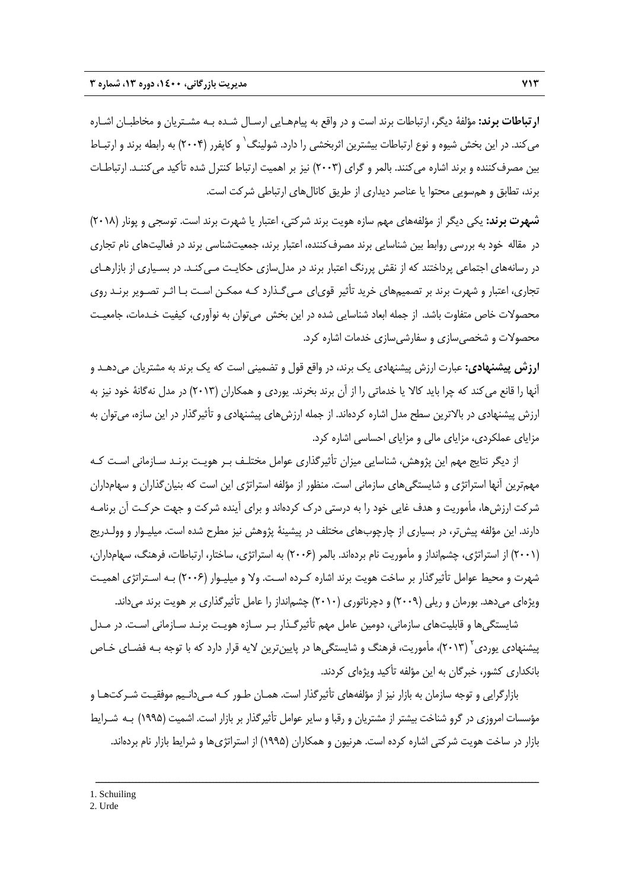**ارتباطات برند:** مؤلفة ديگر، ارتباطات برند است و در واقع به پيامهـايي ارسـال شـده بـه مشـتريان و مخاطبـان اشـاره میکند. در این بخش شیوه و نوع ارتباطات بیشترین اثربخشی را دارد. شولینگ<sup>٬</sup> و کاپفرر (۲۰۰۴) به رابطه برند و ارتبـاط بين مصرفكننده و برند اشاره ميكنند. بالمر و گراي (2003) نيز بر اهميت ارتباط كنترل شده تأكيد ميكننـد. ارتباطـات برند، تطابق و همسويي محتوا يا عناصر ديداري از طريق كانالهاي ارتباطي شركت است.

**شهرت برند:** يكي ديگر از مؤلفههاي مهم سازه هويت برند شركتي، اعتبار يا شهرت برند است. توسجي و پونار (2018) در مقاله خود به بررسي روابط بين شناسايي برند مصرفكننده، اعتبار برند، جمعيتشناسي برند در فعاليتهاي نام تجاري در رسانههاي اجتماعي پرداختند كه از نقش پررنگ اعتبار برند در مدلسازي حكايـت مـيكنـد. در بسـياري از بازارهـاي تجاري، اعتبار و شهرت برند بر تصميمهاي خريد تأثير قوياي مـيگـذارد كـه ممكـن اسـت بـا اثـر تصـوير برنـد روي محصولات خاص متفاوت باشد. از جمله ابعاد شناسايي شده در اين بخش ميتوان به نوآوري، كيفيت خـدمات، جامعيـت محصولات و شخصيسازي و سفارشيسازي خدمات اشاره كرد.

**ارزش پيشنهادي:** عبارت ارزش پيشنهادي يك برند، در واقع قول و تضميني است كه يك برند به مشتريان ميدهـد و آنها را قانع ميكند كه چرا بايد كالا يا خدماتي را از آن برند بخرند. يوردي و همكاران (2013) در مدل نهگانة خود نيز به ارزش پيشنهادي در بالاترين سطح مدل اشاره كردهاند. از جمله ارزشهاي پيشنهادي و تأثيرگذار در اين سازه، ميتوان به مزاياي عملكردي، مزاياي مالي و مزاياي احساسي اشاره كرد.

از ديگر نتايج مهم اين پژوهش، شناسايي ميزان تأثيرگذاري عوامل مختلـف بـر هويـت برنـد سـازماني اسـت كـه مهمترين آنها استراتژي و شايستگيهاي سازماني است. منظور از مؤلفه استراتژي اين است كه بنيانگذاران و سهامداران شركت ارزشها، مأموريت و هدف غايي خود را به درستي درك كردهاند و براي آينده شركت و جهت حركـت آن برنامـه دارند. اين مؤلفه پيشتر، در بسياري از چارچوبهاي مختلف در پيشينة پژوهش نيز مطرح شده است. ميليـوار و وولـدريج (2001) از استراتژي، چشمانداز و مأموريت نام بردهاند. بالمر (2006) به استراتژي، ساختار، ارتباطات، فرهنگ، سهامداران، شهرت و محيط عوامل تأثيرگذار بر ساخت هويت برند اشاره كـرده اسـت. ولا و ميليـوار (2006) بـه اسـتراتژي اهميـت ويژهاي ميدهد. بورمان و ريلي (2009) و دچرناتوري (2010) چشمانداز را عامل تأثيرگذاري بر هويت برند ميداند.

شايستگيها و قابليتهاي سازماني، دومين عامل مهم تأثيرگـذار بـر سـازه هويـت برنـد سـازماني اسـت. در مـدل پيشنهادي پوردي ً (٢٠١٣)، مأموريت، فرهنگ و شايستگيها در پايينترين لايه قرار دارد كه با توجه بـه فضـاي خـاص بانكداري كشور، خبرگان به اين مؤلفه تأكيد ويژهاي كردند.

بازارگرايي و توجه سازمان به بازار نيز از مؤلفههاي تأثيرگذار است. همـان طـور كـه مـيدانـيم موفقيـت شـركتهـا و مؤسسات امروزي در گرو شناخت بيشتر از مشتريان و رقبا و ساير عوامل تأثيرگذار بر بازار است. اشميت (1995) بـه شـرايط بازار در ساخت هويت شركتي اشاره كرده است. هرنيون و همكاران (1995) از استراتژيها و شرايط بازار نام بردهاند.

<sup>2.</sup> Urde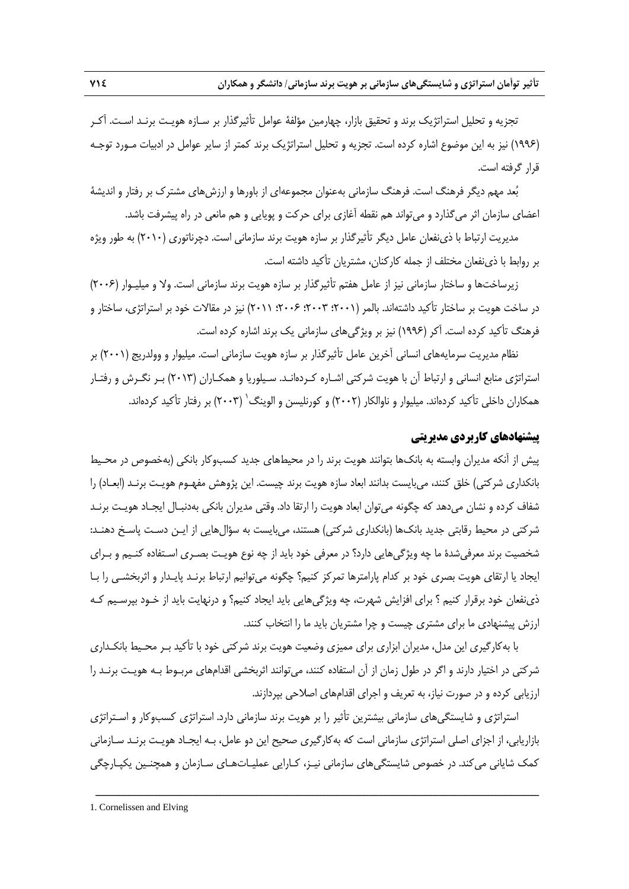تجزيه و تحليل استراتژيك برند و تحقيق بازار، چهارمين مؤلفة عوامل تأثيرگذار بر سـازه هويـت برنـد اسـت. آكـر (1996) نيز به اين موضوع اشاره كرده است. تجزيه و تحليل استراتژيك برند كمتر از ساير عوامل در ادبيات مـورد توجـه قرار گرفته است.

بعد مهم ديگر فرهنگ است. فرهنگ سازماني بهعنوان مجموعهاي از باورها و ارزشهاي مشترك بر رفتار و انديشة اعضاي سازمان اثر ميگذارد و ميتواند هم نقطه آغازي براي حركت و پويايي و هم مانعي در راه پيشرفت باشد.

مديريت ارتباط با ذينفعان عامل ديگر تأثيرگذار بر سازه هويت برند سازماني است. دچرناتوري (2010) به طور ويژه بر روابط با ذينفعان مختلف از جمله كاركنان، مشتريان تأكيد داشته است.

زيرساختها و ساختار سازماني نيز از عامل هفتم تأثيرگذار بر سازه هويت برند سازماني است. ولا و ميليـوار (2006) در ساخت هويت بر ساختار تأكيد داشتهاند. بالمر (2001؛ 2003؛ 2006؛ 2011) نيز در مقالات خود بر استراتژي، ساختار و فرهنگ تأكيد كرده است. آكر (1996) نيز بر ويژگيهاي سازماني يك برند اشاره كرده است.

نظام مديريت سرمايههاي انساني آخرين عامل تأثيرگذار بر سازه هويت سازماني است. ميليوار و وولدريج (2001) بر استراتژي منابع انساني و ارتباط آن با هويت شركتي اشـاره كـردهانـد. سـيلوريا و همكـاران (2013) بـر نگـرش و رفتـار همكاران داخلي تأكيد كردهاند. ميليوار و ناوالكار (٢٠٠٢) و كورنليسن و الوينگ<sup>\</sup> (٢٠٠٣) بر رفتار تأكيد كردهاند.

### **پيشنهادهاي كاربردي مديريتي**

پيش از آنكه مديران وابسته به بانكها بتوانند هويت برند را در محيطهاي جديد كسبوكار بانكي (بهخصوص در محـيط بانكداري شركتي) خلق كنند، ميبايست بدانند ابعاد سازه هويت برند چيست. اين پژوهش مفهـوم هويـت برنـد (ابعـاد) را شفاف كرده و نشان ميدهد كه چگونه ميتوان ابعاد هويت را ارتقا داد. وقتي مديران بانكي بهدنبـال ايجـاد هويـت برنـد شركتي در محيط رقابتي جديد بانكها (بانكداري شركتي) هستند، ميبايست به سؤالهايي از ايـن دسـت پاسـخ دهنـد: شخصيت برند معرفيشدة ما چه ويژگيهايي دارد؟ در معرفي خود بايد از چه نوع هويـت بصـري اسـتفاده كنـيم و بـراي ايجاد يا ارتقاي هويت بصري خود بر كدام پارامترها تمركز كنيم؟ چگونه ميتوانيم ارتباط برنـد پايـدار و اثربخشـي را بـا ذينفعان خود برقرار كنيم ؟ براي افزايش شهرت، چه ويژگيهايي بايد ايجاد كنيم؟ و درنهايت بايد از خـود بپرسـيم كـه ارزش پيشنهادي ما براي مشتري چيست و چرا مشتريان بايد ما را انتخاب كنند.

با بهكارگيري اين مدل، مديران ابزاري براي مميزي وضعيت هويت برند شركتي خود با تأكيد بـر محـيط بانكـداري شركتي در اختيار دارند و اگر در طول زمان از آن استفاده كنند، ميتوانند اثربخشي اقدامهاي مربـوط بـه هويـت برنـد را ارزيابي كرده و در صورت نياز، به تعريف و اجراي اقدامهاي اصلاحي بپردازند.

استراتژي و شايستگيهاي سازماني بيشترين تأثير را بر هويت برند سازماني دارد. استراتژي كسبوكار و اسـتراتژي بازاريابي، از اجزاي اصلي استراتژي سازماني است كه بهكارگيري صحيح اين دو عامل، بـه ايجـاد هويـت برنـد سـازماني كمك شاياني ميكند. در خصوص شايستگيهاي سازماني نيـز، كـارايي عمليـاتهـاي سـازمان و همچنـين يكپـارچگي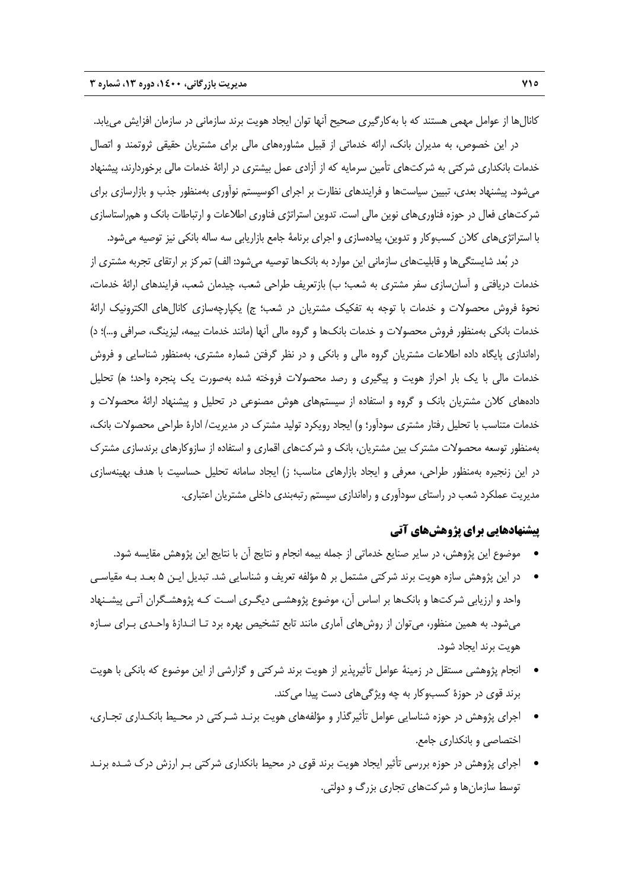كانالها از عوامل مهمي هستند كه با بهكارگيري صحيح آنها توان ايجاد هويت برند سازماني در سازمان افزايش مييابد. در اين خصوص، به مديران بانك، ارائه خدماتي از قبيل مشاورههاي مالي براي مشتريان حقيقي ثروتمند و اتصال خدمات بانكداري شركتي به شركتهاي تأمين سرمايه كه از آزادي عمل بيشتري در ارائة خدمات مالي برخوردارند، پيشنهاد ميشود. پيشنهاد بعدي، تبيين سياستها و فرايندهاي نظارت بر اجراي اكوسيستم نوآوري بهمنظور جذب و بازارسازي براي شركتهاي فعال در حوزه فناوريهاي نوين مالي است. تدوين استراتژي فناوري اطلاعات و ارتباطات بانك و همراستاسازي با استراتژيهاي كلان كسبوكار و تدوين، پيادهسازي و اجراي برنامة جامع بازاريابي سه ساله بانكي نيز توصيه ميشود.

در بُعد شايستگي ها و قابليتهاي سازماني اين موارد به بانکها توصيه مي شود: الف) تمركز بر ارتقاي تجربه مشتري از خدمات دريافتي و آسانسازي سفر مشتري به شعب؛ ب) بازتعريف طراحي شعب، چيدمان شعب، فرايندهاي ارائة خدمات، نحوة فروش محصولات و خدمات با توجه به تفكيك مشتريان در شعب؛ ج) يكپارچهسازي كانالهاي الكترونيك ارائة خدمات بانكي بهمنظور فروش محصولات و خدمات بانكها و گروه مالي آنها (مانند خدمات بيمه، ليزينگ، صرافي و...)؛ د) راهاندازي پايگاه داده اطلاعات مشتريان گروه مالي و بانكي و در نظر گرفتن شماره مشتري، بهمنظور شناسايي و فروش خدمات مالي با يك بار احراز هويت و پيگيري و رصد محصولات فروخته شده بهصورت يك پنجره واحد؛ ه) تحليل دادههاي كلان مشتريان بانك و گروه و استفاده از سيستمهاي هوش مصنوعي در تحليل و پيشنهاد ارائة محصولات و خدمات متناسب با تحليل رفتار مشتري سودآور؛ و) ايجاد رويكرد توليد مشترك در مديريت/ ادارة طراحي محصولات بانك، بهمنظور توسعه محصولات مشترك بين مشتريان، بانك و شركتهاي اقماري و استفاده از سازوكارهاي برندسازي مشترك در اين زنجيره بهمنظور طراحي، معرفي و ايجاد بازارهاي مناسب؛ ز) ايجاد سامانه تحليل حساسيت با هدف بهينهسازي مديريت عملكرد شعب در راستاي سودآوري و راهاندازي سيستم رتبهبندي داخلي مشتريان اعتباري.

### **پيشنهادهايي براي پژوهشهاي آتي**

- موضوع اين پژوهش، در ساير صنايع خدماتي از جمله بيمه انجام و نتايج آن با نتايج اين پژوهش مقايسه شود.
- در اين پژوهش سازه هويت برند شركتي مشتمل بر 5 مؤلفه تعريف و شناسايي شد. تبديل ايـن 5 بعـد بـه مقياسـي واحد و ارزيابي شركتها و بانكها بر اساس آن، موضوع پژوهشـي ديگـري اسـت كـه پژوهشـگران آتـي پيشـنهاد ميشود. به همين منظور، ميتوان از روشهاي آماري مانند تابع تشخيص بهره برد تـا انـدازة واحـدي بـراي سـازه هويت برند ايجاد شود.
- انجام پژوهشي مستقل در زمينة عوامل تأثيرپذير از هويت برند شركتي و گزارشي از اين موضوع كه بانكي با هويت برند قوي در حوزة كسبوكار به چه ويژگيهاي دست پيدا ميكند.
- اجراي پژوهش در حوزه شناسايي عوامل تأثيرگذار و مؤلفههاي هويت برنـد شـركتي در محـيط بانكـداري تجـاري، اختصاصي و بانكداري جامع.
- اجراي پژوهش در حوزه بررسي تأثير ايجاد هويت برند قوي در محيط بانكداري شركتي بـر ارزش درك شـده برنـد توسط سازمانها و شركتهاي تجاري بزرگ و دولتي.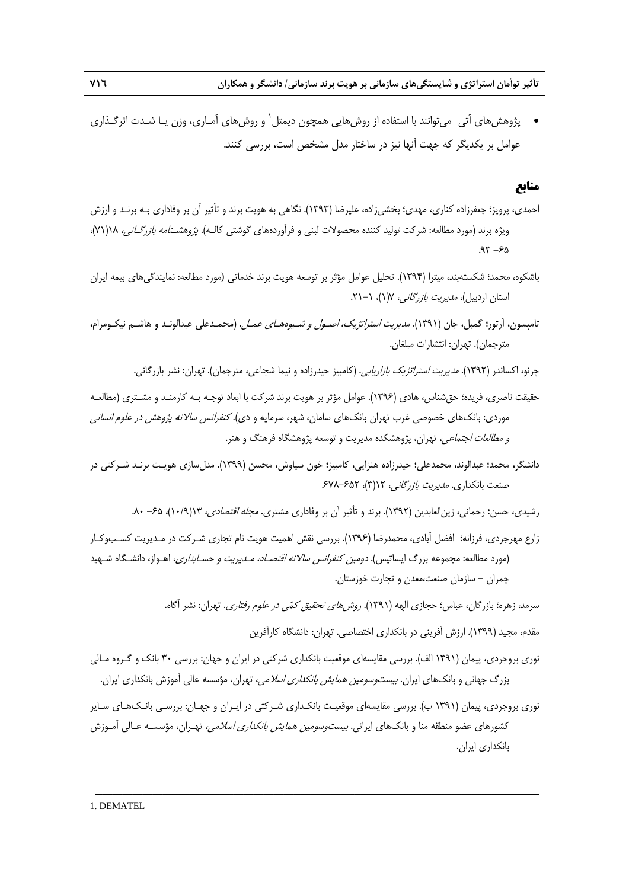يژوهش هاي آتي \_مي توانند با استفاده از روش هايي همچون ديمتل` و روش هاي آمـاري، وزن پــا شــدت اثر گــذاري عوامل بر يكديگر كه جهت آنها نيز در ساختار مدل مشخص است، بررسي كنند.

#### **منابع**

- احمدي، پرويز؛ جعفرزاده كناري، مهدي؛ بخشيزاده، عليرضا (1393). نگاهي به هويت برند و تأثير آن بر وفاداري بـه برنـد و ارزش ويژه برند (مورد مطالعه: شركت توليد كننده محصولات لبني و فرآوردههاي گوشتي كالـه). پژوهشـنامه بازرگـاني، 18(71)،  $.97 - 80$
- باشكوه، محمد؛ شكستهبند، ميترا (1394). تحليل عوامل مؤثر بر توسعه هويت برند خدماتي (مورد مطالعه: نمايندگيهاي بيمه ايران استان اردبيل)، *مديريت بازرگاني، ١*(١)، ١-٢١.
- تامپسون، آرتور؛ گمبل، جان (1391). مديريت استراتژيك، اصـول <sup>و</sup> شـيوههـاي عمـل. (محمـدعلي عبدالونـد و هاشـم نيكـومرام، مترجمان). تهران: انتشارات مبلغان.
	- چرنو، اكساندر (1392). مديريت استراتژيك بازاريابي. (كامبيز حيدرزاده و نيما شجاعي، مترجمان). تهران: نشر بازرگاني.
- حقيقت ناصري، فريده؛ حقشناس، هادي (1396). عوامل مؤثر بر هويت برند شركت با ابعاد توجـه بـه كارمنـد و مشـتري (مطالعـه موردي: بانكهاي خصوصي غرب تهران بانكهاي سامان، شهر، سرمايه و دي). *كنفرانس سالانه پژوهش در علوم انساني* <sup>و</sup> مطالعات اجتماعي، تهران، پژوهشكده مديريت و توسعه پژوهشگاه فرهنگ و هنر.
- دانشگر، محمد؛ عبدالوند، محمدعلي؛ حيدرزاده هنزايي، كامبيز؛ خون سياوش، محسن (1399). مدلسازي هويـت برنـد شـركتي در صنعت بانكداري. *مديريت بازرگاني،* ١٢(٣)، ۶۵۲-۶۷۸ـ
	- رشيدي، حسن؛ رحماني، زين|لعابدين (١٣٩٢). برند و تأثير آن بر وفاداري مشتري. *مجله اقتصادي*، ١٣(١٠/٩)، ۶۵- ٨٠.
- زارع مهرجردي، فرزانه؛ افضل آبادي، محمدرضا (1396). بررسي نقش اهميت هويت نام تجاري شـركت در مـديريت كسـبوكـار (مورد مطالعه: مجموعه بزرگ ايساتيس). دومين كنفرانس سالانه اقتصـاد، مـديريت <sup>و</sup> حسـابداري، اهـواز، دانشـگاه شـهيد چمران - سازمان صنعت،معدن و تجارت خوزستان.
	- سرمد، زهره؛ بازرگان، عباس؛ حجازي الهه (١٣٩١). *روشهاي تحقيق كمّي در علوم رفتاري*. تهران: نشر آگاه.
		- مقدم، مجيد (1399). ارزش آفريني در بانكداري اختصاصي. تهران: دانشگاه كارآفرين
- نوري بروجردي، پيمان (1391 الف). بررسي مقايسهاي موقعيت بانكداري شركتي در ايران و جهان: بررسي 30 بانك و گـروه مـالي بزرگ جهاني و بانكهاي ايران. *بيستوسومين همايش بانكداري اسلامي*، تهران، مؤسسه عالي آموزش بانكداري ايران.
- نوري بروجردي، پيمان (1391 ب). بررسي مقايسهاي موقعيـت بانكـداري شـركتي در ايـران و جهـان: بررسـي بانـكهـاي سـاير كشورهاي عضو منطقه منا و بانكهاي ايراني. *بيستوسومين همايش بانكداري اسلامي،* تهـران، مؤسسـه عـالي آمـوزش بانكداري ايران.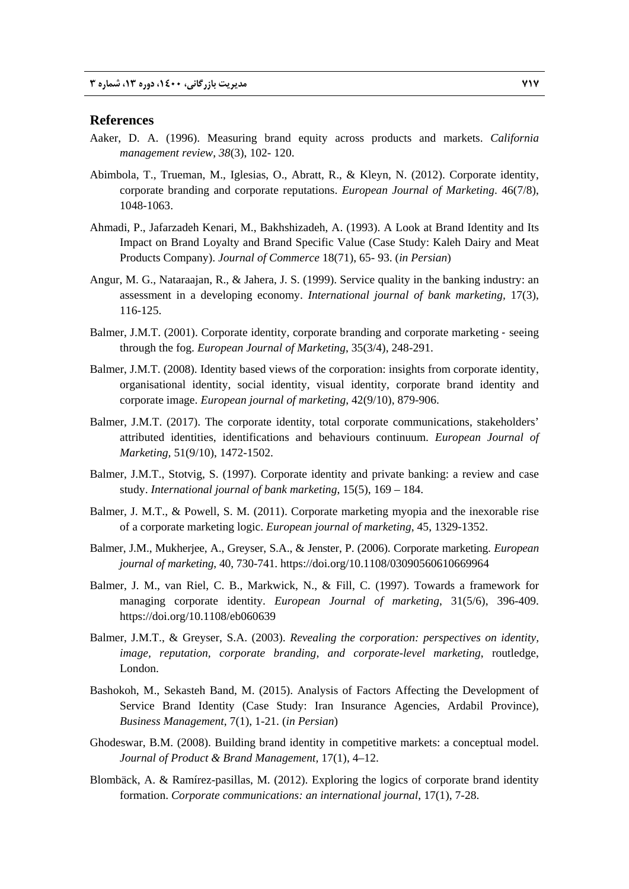#### **References**

- Aaker, D. A. (1996). Measuring brand equity across products and markets. *California management review*, *38*(3), 102- 120.
- Abimbola, T., Trueman, M., Iglesias, O., Abratt, R., & Kleyn, N. (2012). Corporate identity, corporate branding and corporate reputations. *European Journal of Marketing*. 46(7/8), 1048-1063.
- Ahmadi, P., Jafarzadeh Kenari, M., Bakhshizadeh, A. (1993). A Look at Brand Identity and Its Impact on Brand Loyalty and Brand Specific Value (Case Study: Kaleh Dairy and Meat Products Company). *Journal of Commerce* 18(71), 65- 93. (*in Persian*)
- Angur, M. G., Nataraajan, R., & Jahera, J. S. (1999). Service quality in the banking industry: an assessment in a developing economy. *International journal of bank marketing,* 17(3), 116-125.
- Balmer, J.M.T. (2001). Corporate identity, corporate branding and corporate marketing seeing through the fog. *European Journal of Marketing*, 35(3/4), 248-291.
- Balmer, J.M.T. (2008). Identity based views of the corporation: insights from corporate identity, organisational identity, social identity, visual identity, corporate brand identity and corporate image. *European journal of marketing*, 42(9/10), 879-906.
- Balmer, J.M.T. (2017). The corporate identity, total corporate communications, stakeholders' attributed identities, identifications and behaviours continuum. *European Journal of Marketing,* 51(9/10), 1472-1502.
- Balmer, J.M.T., Stotvig, S. (1997). Corporate identity and private banking: a review and case study. *International journal of bank marketing*, 15(5), 169 – 184.
- Balmer, J. M.T., & Powell, S. M. (2011). Corporate marketing myopia and the inexorable rise of a corporate marketing logic. *European journal of marketing*, 45, 1329-1352.
- Balmer, J.M., Mukherjee, A., Greyser, S.A., & Jenster, P. (2006). Corporate marketing. *European journal of marketing*, 40, 730-741. https://doi.org/10.1108/03090560610669964
- Balmer, J. M., van Riel, C. B., Markwick, N., & Fill, C. (1997). Towards a framework for managing corporate identity. *European Journal of marketing*, 31(5/6), 396-409. https://doi.org/10.1108/eb060639
- Balmer, J.M.T., & Greyser, S.A. (2003). *Revealing the corporation: perspectives on identity, image, reputation, corporate branding, and corporate-level marketing*, routledge, London.
- Bashokoh, M., Sekasteh Band, M. (2015). Analysis of Factors Affecting the Development of Service Brand Identity (Case Study: Iran Insurance Agencies, Ardabil Province), *Business Management*, 7(1), 1-21. (*in Persian*)
- Ghodeswar, B.M. (2008). Building brand identity in competitive markets: a conceptual model. *Journal of Product & Brand Management,* 17(1), 4–12.
- Blombäck, A. & Ramírez-pasillas, M. (2012). Exploring the logics of corporate brand identity formation. *Corporate communications: an international journal*, 17(1), 7-28.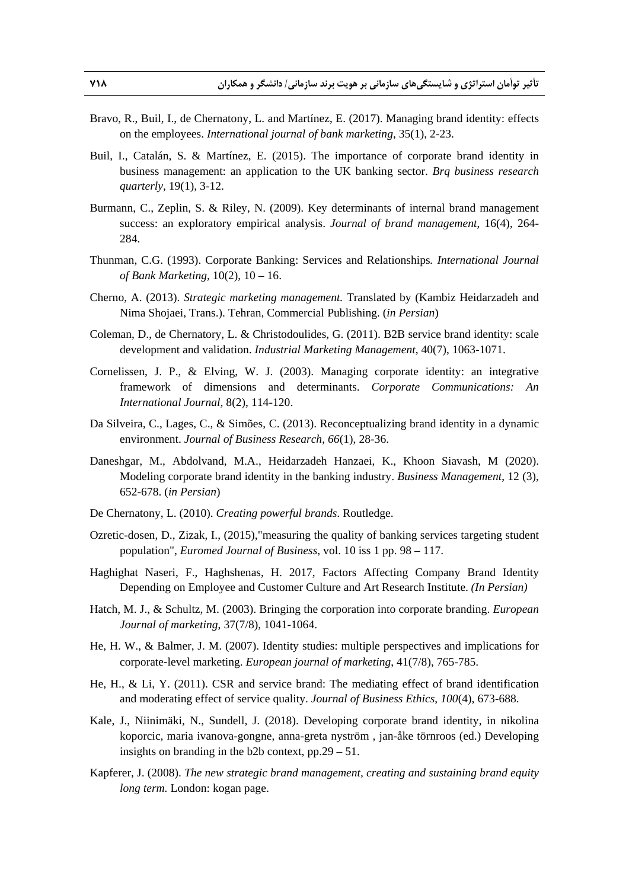- Bravo, R., Buil, I., de Chernatony, L. and Martínez, E. (2017). Managing brand identity: effects on the employees. *International journal of bank marketing*, 35(1), 2-23.
- Buil, I., Catalán, S. & Martínez, E. (2015). The importance of corporate brand identity in business management: an application to the UK banking sector. *Brq business research quarterly,* 19(1), 3-12.
- Burmann, C., Zeplin, S. & Riley, N. (2009). Key determinants of internal brand management success: an exploratory empirical analysis. *Journal of brand management*, 16(4), 264- 284.
- Thunman, C.G. (1993). Corporate Banking: Services and Relationships*. International Journal of Bank Marketing,* 10(2), 10 – 16.
- Cherno, A. (2013). *Strategic marketing management.* Translated by (Kambiz Heidarzadeh and Nima Shojaei, Trans.). Tehran, Commercial Publishing. (*in Persian*)
- Coleman, D., de Chernatory, L. & Christodoulides, G. (2011). B2B service brand identity: scale development and validation. *Industrial Marketing Management*, 40(7), 1063-1071.
- Cornelissen, J. P., & Elving, W. J. (2003). Managing corporate identity: an integrative framework of dimensions and determinants. *Corporate Communications: An International Journal*, 8(2), 114-120.
- Da Silveira, C., Lages, C., & Simões, C. (2013). Reconceptualizing brand identity in a dynamic environment. *Journal of Business Research*, *66*(1), 28-36.
- Daneshgar, M., Abdolvand, M.A., Heidarzadeh Hanzaei, K., Khoon Siavash, M (2020). Modeling corporate brand identity in the banking industry. *Business Management*, 12 (3), 652-678. (*in Persian*)
- De Chernatony, L. (2010). *Creating powerful brands*. Routledge.
- Ozretic-dosen, D., Zizak, I., (2015),"measuring the quality of banking services targeting student population", *Euromed Journal of Business*, vol. 10 iss 1 pp. 98 – 117.
- Haghighat Naseri, F., Haghshenas, H. 2017, Factors Affecting Company Brand Identity Depending on Employee and Customer Culture and Art Research Institute. *(In Persian)*
- Hatch, M. J., & Schultz, M. (2003). Bringing the corporation into corporate branding. *European Journal of marketing*, 37(7/8), 1041-1064.
- He, H. W., & Balmer, J. M. (2007). Identity studies: multiple perspectives and implications for corporate‐level marketing. *European journal of marketing*, 41(7/8), 765-785.
- He, H., & Li, Y. (2011). CSR and service brand: The mediating effect of brand identification and moderating effect of service quality. *Journal of Business Ethics*, *100*(4), 673-688.
- Kale, J., Niinimäki, N., Sundell, J. (2018). Developing corporate brand identity, in nikolina koporcic, maria ivanova-gongne, anna-greta nyström , jan-åke törnroos (ed.) Developing insights on branding in the b2b context, pp.29 – 51.
- Kapferer, J. (2008). *The new strategic brand management, creating and sustaining brand equity long term.* London: kogan page.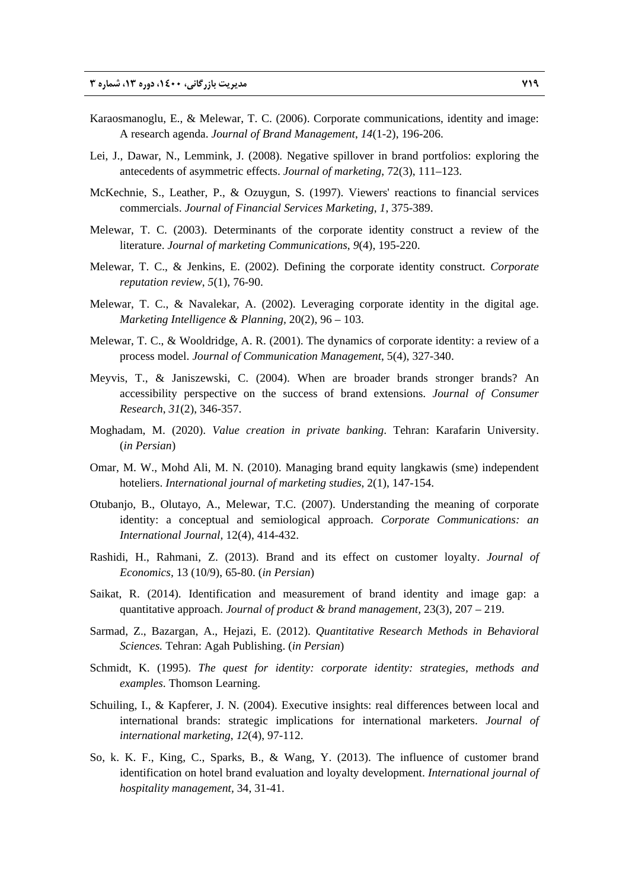- Karaosmanoglu, E., & Melewar, T. C. (2006). Corporate communications, identity and image: A research agenda. *Journal of Brand Management*, *14*(1-2), 196-206.
- Lei, J., Dawar, N., Lemmink, J. (2008). Negative spillover in brand portfolios: exploring the antecedents of asymmetric effects. *Journal of marketing*, 72(3), 111–123.
- McKechnie, S., Leather, P., & Ozuygun, S. (1997). Viewers' reactions to financial services commercials. *Journal of Financial Services Marketing*, *1*, 375-389.
- Melewar, T. C. (2003). Determinants of the corporate identity construct a review of the literature. *Journal of marketing Communications*, *9*(4), 195-220.
- Melewar, T. C., & Jenkins, E. (2002). Defining the corporate identity construct. *Corporate reputation review*, *5*(1), 76-90.
- Melewar, T. C., & Navalekar, A. (2002). Leveraging corporate identity in the digital age. *Marketing Intelligence & Planning,* 20(2), 96 – 103.
- Melewar, T. C., & Wooldridge, A. R. (2001). The dynamics of corporate identity: a review of a process model. *Journal of Communication Management*, 5(4), 327-340.
- Meyvis, T., & Janiszewski, C. (2004). When are broader brands stronger brands? An accessibility perspective on the success of brand extensions. *Journal of Consumer Research*, *31*(2), 346-357.
- Moghadam, M. (2020). *Value creation in private banking*. Tehran: Karafarin University. (*in Persian*)
- Omar, M. W., Mohd Ali, M. N. (2010). Managing brand equity langkawis (sme) independent hoteliers. *International journal of marketing studies*, 2(1), 147-154.
- Otubanjo, B., Olutayo, A., Melewar, T.C. (2007). Understanding the meaning of corporate identity: a conceptual and semiological approach. *Corporate Communications: an International Journal,* 12(4), 414-432.
- Rashidi, H., Rahmani, Z. (2013). Brand and its effect on customer loyalty. *Journal of Economics,* 13 (10/9), 65-80. (*in Persian*)
- Saikat, R. (2014). Identification and measurement of brand identity and image gap: a quantitative approach. *Journal of product & brand management,* 23(3), 207 – 219.
- Sarmad, Z., Bazargan, A., Hejazi, E. (2012). *Quantitative Research Methods in Behavioral Sciences.* Tehran: Agah Publishing. (*in Persian*)
- Schmidt, K. (1995). *The quest for identity: corporate identity: strategies, methods and examples*. Thomson Learning.
- Schuiling, I., & Kapferer, J. N. (2004). Executive insights: real differences between local and international brands: strategic implications for international marketers. *Journal of international marketing*, *12*(4), 97-112.
- So, k. K. F., King, C., Sparks, B., & Wang, Y. (2013). The influence of customer brand identification on hotel brand evaluation and loyalty development. *International journal of hospitality management,* 34, 31-41.